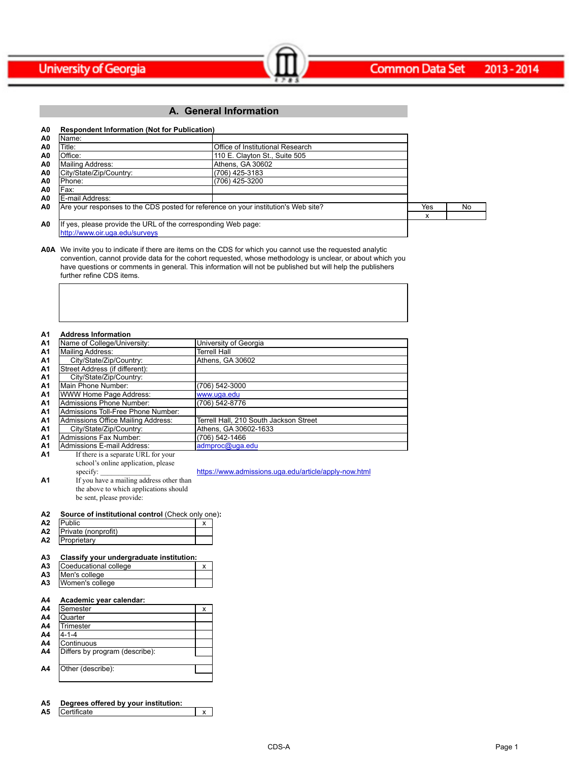

## **A. General Information**

| A0             | <b>Respondent Information (Not for Publication)</b>                                |                                  |     |    |
|----------------|------------------------------------------------------------------------------------|----------------------------------|-----|----|
| A0             | IName:                                                                             |                                  |     |    |
| A0             | Title:                                                                             | Office of Institutional Research |     |    |
| A <sub>0</sub> | Office:                                                                            | 110 E. Clayton St., Suite 505    |     |    |
| A0             | Mailing Address:                                                                   | Athens, GA 30602                 |     |    |
| A0             | City/State/Zip/Country:                                                            | (706) 425-3183                   |     |    |
| A0             | IPhone:                                                                            | (706) 425-3200                   |     |    |
| A0             | Fax:                                                                               |                                  |     |    |
| A <sub>0</sub> | E-mail Address:                                                                    |                                  |     |    |
| A0             | Are your responses to the CDS posted for reference on your institution's Web site? |                                  | Yes | No |
|                |                                                                                    |                                  | X   |    |
| A0             | If yes, please provide the URL of the corresponding Web page:                      |                                  |     |    |
|                | http://www.oir.uga.edu/surveys                                                     |                                  |     |    |

 $\sim$   $\sim$   $\sim$   $\sim$   $\sim$   $\sim$   $\sim$ 

**A0A** We invite you to indicate if there are items on the CDS for which you cannot use the requested analytic convention, cannot provide data for the cohort requested, whose methodology is unclear, or about which you have questions or comments in general. This information will not be published but will help the publishers further refine CDS items.

| A <sub>1</sub> | <b>Address Information</b>          |                                        |
|----------------|-------------------------------------|----------------------------------------|
| A <sub>1</sub> | Name of College/University:         | University of Georgia                  |
| A <sub>1</sub> | Mailing Address:                    | <b>Terrell Hall</b>                    |
| A <sub>1</sub> | City/State/Zip/Country:             | Athens. GA 30602                       |
| A <sub>1</sub> | Street Address (if different):      |                                        |
| A <sub>1</sub> | City/State/Zip/Country:             |                                        |
| A <sub>1</sub> | Main Phone Number:                  | (706) 542-3000                         |
| A <sub>1</sub> | WWW Home Page Address:              | www.uga.edu                            |
| A <sub>1</sub> | Admissions Phone Number:            | (706) 542-8776                         |
| A <sub>1</sub> | Admissions Toll-Free Phone Number:  |                                        |
| A <sub>1</sub> | Admissions Office Mailing Address:  | Terrell Hall, 210 South Jackson Street |
| A <sub>1</sub> | City/State/Zip/Country:             | Athens, GA 30602-1633                  |
| A <sub>1</sub> | Admissions Fax Number:              | (706) 542-1466                         |
| A <sub>1</sub> | Admissions E-mail Address:          | admproc@uga.edu                        |
| A <sub>1</sub> | If there is a separate URL for your |                                        |

school's online application, please specify: **A1** If you have a mailing address other than the above to which applications should https://www.admissions.uga.edu/article/apply-now.html

#### **A2 Source of institutional control (Check only one):**

| In                  |  |
|---------------------|--|
| Private (nonprofit) |  |
| oprietarv           |  |

#### **A3 Classify your undergraduate institution:**

be sent, please provide:

| A <sub>3</sub> | Coeducational college |  |
|----------------|-----------------------|--|
| A <sub>3</sub> | Men's college         |  |
| A <sub>3</sub> | Women's college       |  |

### **A4 Academic year calendar:**

| Α4             | <b>ISemester</b>               | x |
|----------------|--------------------------------|---|
| A4             | Quarter                        |   |
| A4             | Trimester                      |   |
| A4             | $4 - 1 - 4$                    |   |
| A4             | <b>IContinuous</b>             |   |
| A4             | Differs by program (describe): |   |
|                |                                |   |
| A <sub>4</sub> | Other (describe):              |   |
|                |                                |   |

#### **A5 Degrees offered by your institution: A5** Certificate x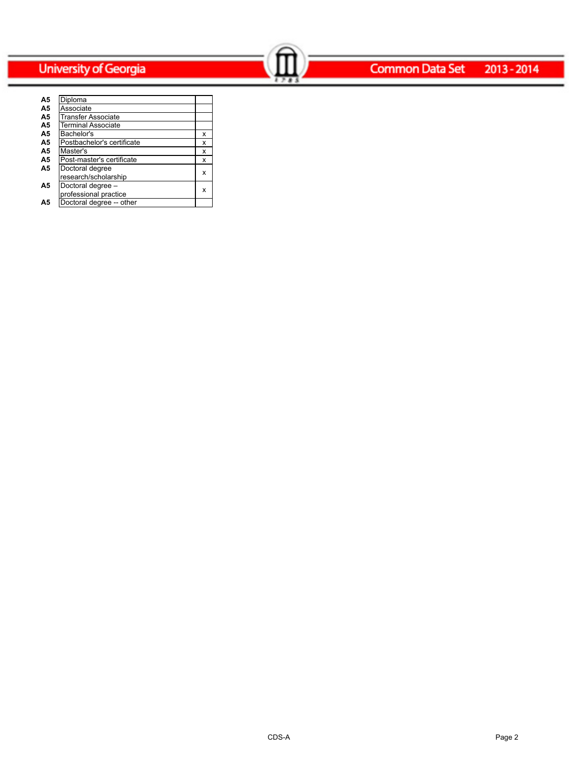### **Common Data Set**  $2013 - 2014$

| A5             | Diploma                    |   |
|----------------|----------------------------|---|
| A <sub>5</sub> | Associate                  |   |
| A <sub>5</sub> | Transfer Associate         |   |
| A <sub>5</sub> | <b>Terminal Associate</b>  |   |
| A <sub>5</sub> | Bachelor's                 | x |
| A <sub>5</sub> | Postbachelor's certificate | x |
| A <sub>5</sub> | Master's                   | x |
| A <sub>5</sub> | Post-master's certificate  | X |
| A <sub>5</sub> | Doctoral degree            |   |
|                | research/scholarship       | x |
| A5             | Doctoral degree -          |   |
|                | professional practice      | x |
| Α5             | Doctoral degree -- other   |   |

Common Data Set 2013-2014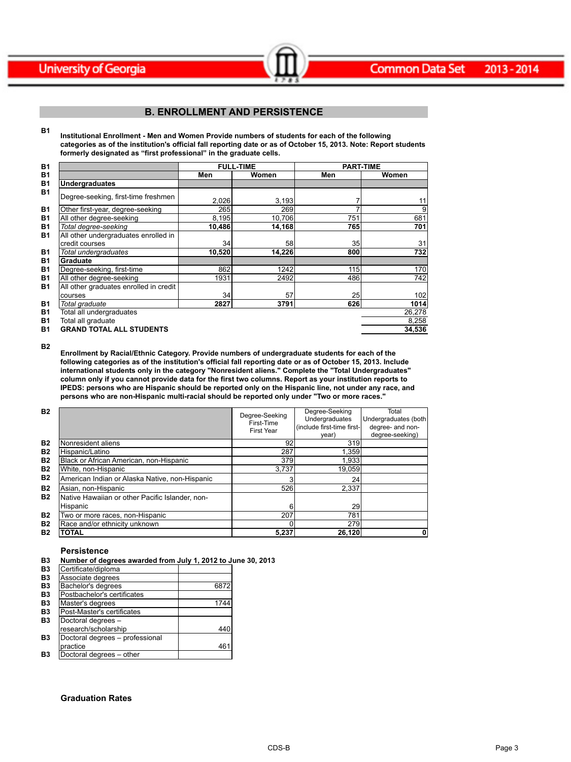

## **B. ENROLLMENT AND PERSISTENCE**

Common Data Set 2013-2014

**B1 Institutional Enrollment - Men and Women Provide numbers of students for each of the following categories as of the institution's official fall reporting date or as of October 15, 2013. Note: Report students formerly designated as "first professional" in the graduate cells.**

| <b>B1</b> |                                        |        | <b>FULL-TIME</b> | <b>PART-TIME</b> |        |
|-----------|----------------------------------------|--------|------------------|------------------|--------|
| <b>B1</b> |                                        | Men    | Women            | Men              | Women  |
| <b>B1</b> | <b>Undergraduates</b>                  |        |                  |                  |        |
| <b>B1</b> | Degree-seeking, first-time freshmen    | 2,026  | 3,193            |                  | 11     |
| <b>B1</b> | Other first-year, degree-seeking       | 265    | 269              |                  | 9      |
| <b>B1</b> | All other degree-seeking               | 8,195  | 10,706           | 751              | 681    |
| <b>B1</b> | Total degree-seeking                   | 10,486 | 14,168           | 765              | 701    |
| <b>B1</b> | All other undergraduates enrolled in   |        |                  |                  |        |
|           | credit courses                         | 34     | 58               | 35               | 31     |
| <b>B1</b> | Total undergraduates                   | 10,520 | 14,226           | 800              | 732    |
| <b>B1</b> | Graduate                               |        |                  |                  |        |
| <b>B1</b> | Degree-seeking, first-time             | 862    | 1242             | 115              | 170    |
| <b>B1</b> | All other degree-seeking               | 1931   | 2492             | 486              | 742    |
| <b>B1</b> | All other graduates enrolled in credit |        |                  |                  |        |
|           | courses                                | 34     | 57               | 25               | 102    |
| <b>B1</b> | Total graduate                         | 2827   | 3791             | 626              | 1014   |
| <b>B1</b> | Total all undergraduates               |        |                  |                  | 26,278 |
| <b>B1</b> | Total all graduate                     |        |                  |                  | 8,258  |
| <b>B1</b> | <b>GRAND TOTAL ALL STUDENTS</b>        |        |                  |                  | 34,536 |

**B2**

**Enrollment by Racial/Ethnic Category. Provide numbers of undergraduate students for each of the following categories as of the institution's official fall reporting date or as of October 15, 2013. Include international students only in the category "Nonresident aliens." Complete the "Total Undergraduates" column only if you cannot provide data for the first two columns. Report as your institution reports to IPEDS: persons who are Hispanic should be reported only on the Hispanic line, not under any race, and persons who are non-Hispanic multi-racial should be reported only under "Two or more races."** 

| <b>B2</b>      |                                                 | Degree-Seeking<br>First-Time<br><b>First Year</b> | Degree-Seeking<br>Undergraduates<br>(include first-time first-<br>year) | Total<br>Undergraduates (both<br>degree- and non-<br>degree-seeking) |
|----------------|-------------------------------------------------|---------------------------------------------------|-------------------------------------------------------------------------|----------------------------------------------------------------------|
| <b>B2</b>      | Nonresident aliens                              | 92                                                | 319                                                                     |                                                                      |
| <b>B2</b>      | Hispanic/Latino                                 | 287                                               | 1,359                                                                   |                                                                      |
| <b>B2</b>      | Black or African American, non-Hispanic         | 379                                               | 1,933                                                                   |                                                                      |
| <b>B2</b>      | White, non-Hispanic                             | 3.737                                             | 19,059                                                                  |                                                                      |
| <b>B2</b>      | American Indian or Alaska Native, non-Hispanic  |                                                   | 24                                                                      |                                                                      |
| <b>B2</b>      | Asian, non-Hispanic                             | 526                                               | 2,337                                                                   |                                                                      |
| <b>B2</b>      | Native Hawaiian or other Pacific Islander, non- |                                                   |                                                                         |                                                                      |
|                | Hispanic                                        | 6                                                 | 29                                                                      |                                                                      |
| <b>B2</b>      | Two or more races, non-Hispanic                 | 207                                               | 781                                                                     |                                                                      |
| <b>B2</b>      | Race and/or ethnicity unknown                   |                                                   | 279                                                                     |                                                                      |
| B <sub>2</sub> | <b>TOTAL</b>                                    | 5,237                                             | 26,120                                                                  | 0                                                                    |

#### **Persistence**

| B3 I | Number of degrees awarded from July 1, 2012 to June 30, 2013 |  |
|------|--------------------------------------------------------------|--|
|------|--------------------------------------------------------------|--|

| B <sub>3</sub> | Certificate/diploma             |      |
|----------------|---------------------------------|------|
| B <sub>3</sub> | Associate degrees               |      |
| B <sub>3</sub> | Bachelor's degrees              | 6872 |
| B <sub>3</sub> | Postbachelor's certificates     |      |
| B <sub>3</sub> | Master's degrees                | 1744 |
| B <sub>3</sub> | Post-Master's certificates      |      |
| B <sub>3</sub> | Doctoral degrees -              |      |
|                | research/scholarship            | 440  |
| B3             | Doctoral degrees - professional |      |
|                | practice                        | 461  |
| B <sub>3</sub> | Doctoral degrees - other        |      |

#### **Graduation Rates**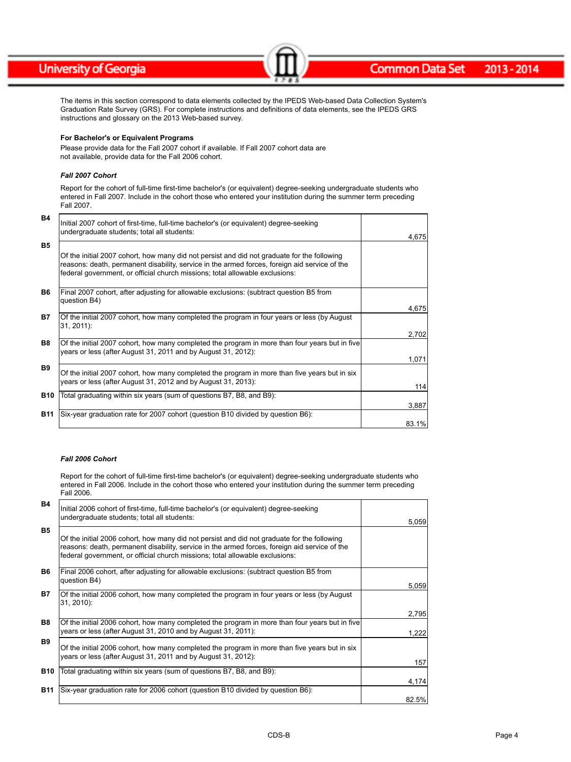#### **Common Data Set** 2013-2014

The items in this section correspond to data elements collected by the IPEDS Web-based Data Collection System's Graduation Rate Survey (GRS). For complete instructions and definitions of data elements, see the IPEDS GRS instructions and glossary on the 2013 Web-based survey.

 $-$ 

#### **For Bachelor's or Equivalent Programs**

Please provide data for the Fall 2007 cohort if available. If Fall 2007 cohort data are not available, provide data for the Fall 2006 cohort.

#### *Fall 2007 Cohort*

Report for the cohort of full-time first-time bachelor's (or equivalent) degree-seeking undergraduate students who entered in Fall 2007. Include in the cohort those who entered your institution during the summer term preceding Fall 2007.

| B4         | Initial 2007 cohort of first-time, full-time bachelor's (or equivalent) degree-seeking<br>undergraduate students; total all students:                                                                                                                                        | 4,675 |
|------------|------------------------------------------------------------------------------------------------------------------------------------------------------------------------------------------------------------------------------------------------------------------------------|-------|
| <b>B5</b>  | Of the initial 2007 cohort, how many did not persist and did not graduate for the following<br>reasons: death, permanent disability, service in the armed forces, foreign aid service of the<br>federal government, or official church missions; total allowable exclusions: |       |
| <b>B6</b>  | Final 2007 cohort, after adjusting for allowable exclusions: (subtract question B5 from<br>question B4)                                                                                                                                                                      | 4,675 |
| <b>B7</b>  | Of the initial 2007 cohort, how many completed the program in four years or less (by August<br>31, 2011):                                                                                                                                                                    | 2,702 |
| <b>B8</b>  | Of the initial 2007 cohort, how many completed the program in more than four years but in five<br>years or less (after August 31, 2011 and by August 31, 2012):                                                                                                              | 1,071 |
| <b>B9</b>  | Of the initial 2007 cohort, how many completed the program in more than five years but in six<br>years or less (after August 31, 2012 and by August 31, 2013):                                                                                                               | 114   |
| <b>B10</b> | Total graduating within six years (sum of questions B7, B8, and B9):                                                                                                                                                                                                         | 3,887 |
| <b>B11</b> | Six-year graduation rate for 2007 cohort (question B10 divided by question B6):                                                                                                                                                                                              | 83.1% |

#### *Fall 2006 Cohort*

Report for the cohort of full-time first-time bachelor's (or equivalent) degree-seeking undergraduate students who entered in Fall 2006. Include in the cohort those who entered your institution during the summer term preceding Fall 2006.

| <b>B4</b>      | Initial 2006 cohort of first-time, full-time bachelor's (or equivalent) degree-seeking<br>undergraduate students; total all students:                                                                                                                                        | 5,059 |
|----------------|------------------------------------------------------------------------------------------------------------------------------------------------------------------------------------------------------------------------------------------------------------------------------|-------|
| <b>B5</b>      | Of the initial 2006 cohort, how many did not persist and did not graduate for the following<br>reasons: death, permanent disability, service in the armed forces, foreign aid service of the<br>federal government, or official church missions; total allowable exclusions: |       |
| <b>B6</b>      | Final 2006 cohort, after adjusting for allowable exclusions: (subtract question B5 from<br>question B4)                                                                                                                                                                      | 5,059 |
| <b>B7</b>      | Of the initial 2006 cohort, how many completed the program in four years or less (by August<br>31, 2010):                                                                                                                                                                    | 2,795 |
| B <sub>8</sub> | Of the initial 2006 cohort, how many completed the program in more than four years but in five<br>years or less (after August 31, 2010 and by August 31, 2011):                                                                                                              | 1,222 |
| <b>B9</b>      | Of the initial 2006 cohort, how many completed the program in more than five years but in six<br>years or less (after August 31, 2011 and by August 31, 2012):                                                                                                               | 157   |
| <b>B10</b>     | Total graduating within six years (sum of questions B7, B8, and B9):                                                                                                                                                                                                         |       |
|                |                                                                                                                                                                                                                                                                              | 4,174 |
| <b>B11</b>     | Six-year graduation rate for 2006 cohort (guestion B10 divided by guestion B6):                                                                                                                                                                                              | 82.5% |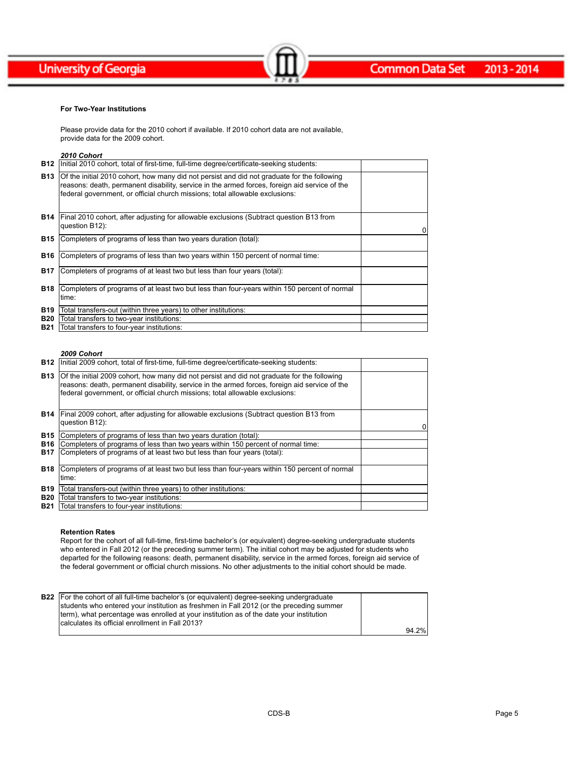

#### **For Two-Year Institutions**

Please provide data for the 2010 cohort if available. If 2010 cohort data are not available, provide data for the 2009 cohort.

### *2010 Cohort*

| B12        | Initial 2010 cohort, total of first-time, full-time degree/certificate-seeking students:                                                                                                                                                                                     |   |
|------------|------------------------------------------------------------------------------------------------------------------------------------------------------------------------------------------------------------------------------------------------------------------------------|---|
| <b>B13</b> | Of the initial 2010 cohort, how many did not persist and did not graduate for the following<br>reasons: death, permanent disability, service in the armed forces, foreign aid service of the<br>federal government, or official church missions; total allowable exclusions: |   |
|            | <b>B14</b> Final 2010 cohort, after adjusting for allowable exclusions (Subtract question B13 from<br>question B12):                                                                                                                                                         | 0 |
| <b>B15</b> | Completers of programs of less than two years duration (total):                                                                                                                                                                                                              |   |
| B16        | Completers of programs of less than two years within 150 percent of normal time:                                                                                                                                                                                             |   |
| <b>B17</b> | Completers of programs of at least two but less than four years (total):                                                                                                                                                                                                     |   |
| <b>B18</b> | Completers of programs of at least two but less than four-years within 150 percent of normal<br>∣time:                                                                                                                                                                       |   |
| <b>B19</b> | Total transfers-out (within three years) to other institutions:                                                                                                                                                                                                              |   |
| <b>B20</b> | Total transfers to two-year institutions:                                                                                                                                                                                                                                    |   |
| B21        | Total transfers to four-year institutions:                                                                                                                                                                                                                                   |   |

Common Data Set 2013-2014

#### *2009 Cohort*

|            | <b>B12</b>   Initial 2009 cohort, total of first-time, full-time degree/certificate-seeking students:                                                                                                                                                                        |   |
|------------|------------------------------------------------------------------------------------------------------------------------------------------------------------------------------------------------------------------------------------------------------------------------------|---|
| <b>B13</b> | Of the initial 2009 cohort, how many did not persist and did not graduate for the following<br>reasons: death, permanent disability, service in the armed forces, foreign aid service of the<br>federal government, or official church missions; total allowable exclusions: |   |
|            | <b>B14</b> Final 2009 cohort, after adjusting for allowable exclusions (Subtract question B13 from<br>question B12):                                                                                                                                                         | 0 |
| B15        | Completers of programs of less than two years duration (total):                                                                                                                                                                                                              |   |
| <b>B16</b> | Completers of programs of less than two years within 150 percent of normal time:                                                                                                                                                                                             |   |
| <b>B17</b> | Completers of programs of at least two but less than four years (total):                                                                                                                                                                                                     |   |
| <b>B18</b> | Completers of programs of at least two but less than four-years within 150 percent of normal<br>∣time:                                                                                                                                                                       |   |
| <b>B19</b> | Total transfers-out (within three years) to other institutions:                                                                                                                                                                                                              |   |
| <b>B20</b> | Total transfers to two-year institutions:                                                                                                                                                                                                                                    |   |
| <b>B21</b> | Total transfers to four-year institutions:                                                                                                                                                                                                                                   |   |

#### **Retention Rates**

Report for the cohort of all full-time, first-time bachelor's (or equivalent) degree-seeking undergraduate students who entered in Fall 2012 (or the preceding summer term). The initial cohort may be adjusted for students who departed for the following reasons: death, permanent disability, service in the armed forces, foreign aid service of the federal government or official church missions. No other adjustments to the initial cohort should be made.

| <b>B22</b> For the cohort of all full-time bachelor's (or equivalent) degree-seeking undergraduate |       |
|----------------------------------------------------------------------------------------------------|-------|
| students who entered your institution as freshmen in Fall 2012 (or the preceding summer            |       |
| Iterm), what percentage was enrolled at your institution as of the date your institution           |       |
| Icalculates its official enrollment in Fall 2013?                                                  |       |
|                                                                                                    | 94.2% |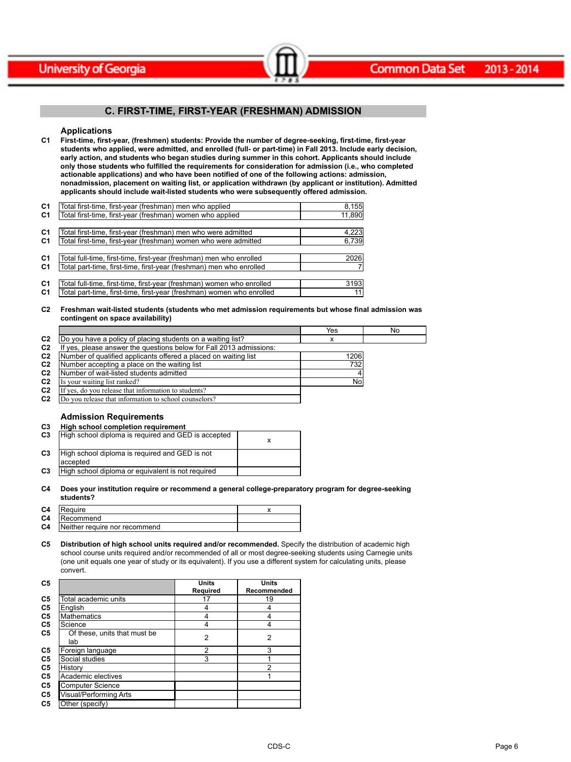

### **C. FIRST-TIME, FIRST-YEAR (FRESHMAN) ADMISSION**

 $\sim$   $\sim$   $\sim$   $\sim$   $\sim$   $\sim$   $\sim$ 

#### **Applications**

**C1 First-time, first-year, (freshmen) students: Provide the number of degree-seeking, first-time, first-year students who applied, were admitted, and enrolled (full- or part-time) in Fall 2013. Include early decision, early action, and students who began studies during summer in this cohort. Applicants should include only those students who fulfilled the requirements for consideration for admission (i.e., who completed actionable applications) and who have been notified of one of the following actions: admission, nonadmission, placement on waiting list, or application withdrawn (by applicant or institution). Admitted applicants should include wait-listed students who were subsequently offered admission.**

| C <sub>1</sub> | Total first-time, first-year (freshman) men who applied               | 8,155  |
|----------------|-----------------------------------------------------------------------|--------|
| C <sub>1</sub> | Total first-time, first-year (freshman) women who applied             | 11,890 |
|                |                                                                       |        |
| C <sub>1</sub> | Total first-time, first-year (freshman) men who were admitted         | 4,223  |
| C <sub>1</sub> | Total first-time, first-year (freshman) women who were admitted       | 6,739  |
|                |                                                                       |        |
| C <sub>1</sub> | Total full-time, first-time, first-year (freshman) men who enrolled   | 2026   |
| C <sub>1</sub> | Total part-time, first-time, first-year (freshman) men who enrolled   |        |
|                |                                                                       |        |
| C <sub>1</sub> | Total full-time, first-time, first-year (freshman) women who enrolled | 3193   |
| C <sub>1</sub> | Total part-time, first-time, first-year (freshman) women who enrolled | 11     |
|                |                                                                       |        |

#### **C2 Freshman wait-listed students (students who met admission requirements but whose final admission was contingent on space availability)**

|                |                                                                  | Yes  | No |
|----------------|------------------------------------------------------------------|------|----|
| C <sub>2</sub> | Do you have a policy of placing students on a waiting list?      |      |    |
| C <sub>2</sub> | yes, please answer the questions below for Fall 2013 admissions: |      |    |
| C <sub>2</sub> | Number of qualified applicants offered a placed on waiting list  | 1206 |    |
| C <sub>2</sub> | Number accepting a place on the waiting list                     | 732  |    |
| C <sub>2</sub> | Number of wait-listed students admitted                          |      |    |
| C <sub>2</sub> | Is your waiting list ranked?                                     | No   |    |
| C <sub>2</sub> | If yes, do you release that information to students?             |      |    |
| C <sub>2</sub> | Do you release that information to school counselors?            |      |    |

#### **Admission Requirements**

| C3             | High school completion requirement                         |  |
|----------------|------------------------------------------------------------|--|
| C3             | High school diploma is required and GED is accepted        |  |
| C <sub>3</sub> | High school diploma is required and GED is not<br>accepted |  |
| C <sub>3</sub> | High school diploma or equivalent is not required          |  |

#### **C4 Does your institution require or recommend a general college-preparatory program for degree-seeking students?**

| C <sub>4</sub> | Require                       |  |
|----------------|-------------------------------|--|
| C <sub>4</sub> | <b>Recommend</b>              |  |
| C <sub>4</sub> | Neither require nor recommend |  |

**C5 Distribution of high school units required and/or recommended.** Specify the distribution of academic high school course units required and/or recommended of all or most degree-seeking students using Carnegie units (one unit equals one year of study or its equivalent). If you use a different system for calculating units, please convert.

| C5             |                                     | Units          | Units       |
|----------------|-------------------------------------|----------------|-------------|
|                |                                     | Required       | Recommended |
| C <sub>5</sub> | Total academic units                | 17             | 19          |
| C <sub>5</sub> | English                             | 4              | 4           |
| C <sub>5</sub> | <b>Mathematics</b>                  | 4              |             |
| C <sub>5</sub> | Science                             | 4              | 4           |
| C <sub>5</sub> | Of these, units that must be<br>lab | $\overline{2}$ | 2           |
| C <sub>5</sub> | Foreign language                    | 2              | 3           |
| C5             | Social studies                      | 3              |             |
| C <sub>5</sub> | History                             |                | 2           |
| C <sub>5</sub> | Academic electives                  |                |             |
| C5             | <b>Computer Science</b>             |                |             |
| C5             | Visual/Performing Arts              |                |             |
| C <sub>5</sub> | Other (specify)                     |                |             |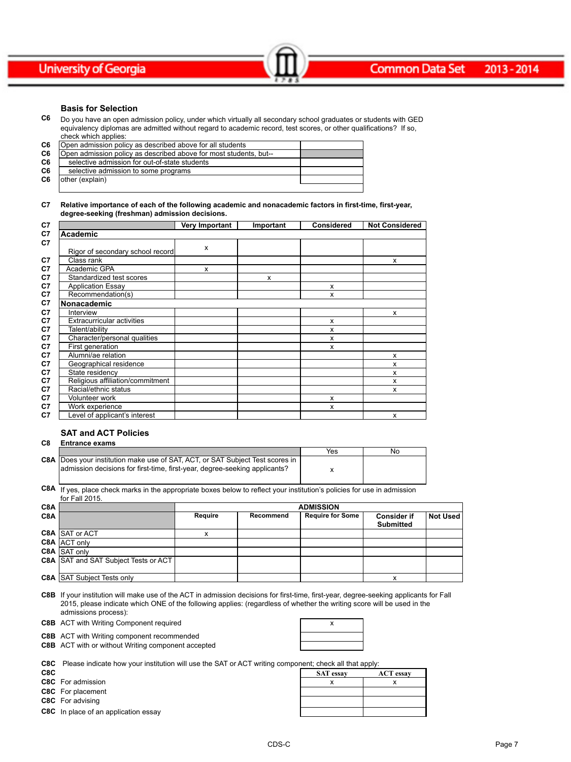#### **Basis for Selection**

**C6** Do you have an open admission policy, under which virtually all secondary school graduates or students with GED equivalency diplomas are admitted without regard to academic record, test scores, or other qualifications? If so, check which applies:

Common Data Set 2013-2014

| C <sub>6</sub> | Open admission policy as described above for all students         |  |
|----------------|-------------------------------------------------------------------|--|
| C <sub>6</sub> | Open admission policy as described above for most students, but-- |  |
| C6             | selective admission for out-of-state students                     |  |
| C6             | selective admission to some programs                              |  |
| C <sub>6</sub> | other (explain)                                                   |  |
|                |                                                                   |  |

#### **C7 Relative importance of each of the following academic and nonacademic factors in first-time, first-year, degree-seeking (freshman) admission decisions.**

| C <sub>7</sub>                         | Very Important | Important | <b>Considered</b> | <b>Not Considered</b> |
|----------------------------------------|----------------|-----------|-------------------|-----------------------|
| C7<br>Academic                         |                |           |                   |                       |
| C7<br>Rigor of secondary school record | X              |           |                   |                       |
| C7<br>Class rank                       |                |           |                   | X                     |
| Academic GPA                           | X              |           |                   |                       |
| Standardized test scores               |                | x         |                   |                       |
| <b>Application Essay</b>               |                |           | X                 |                       |
| Recommendation(s)                      |                |           | X                 |                       |
| Nonacademic                            |                |           |                   |                       |
| Interview                              |                |           |                   | x                     |
| <b>Extracurricular activities</b>      |                |           | X                 |                       |
| Talent/ability                         |                |           | X                 |                       |
| Character/personal qualities           |                |           | X                 |                       |
| First generation                       |                |           | X                 |                       |
| Alumni/ae relation                     |                |           |                   | x                     |
| Geographical residence                 |                |           |                   | x                     |
| State residency                        |                |           |                   | x                     |
| Religious affiliation/commitment       |                |           |                   | x                     |
| Racial/ethnic status                   |                |           |                   | x                     |
| <b>Volunteer work</b>                  |                |           | $\boldsymbol{x}$  |                       |
| Work experience                        |                |           | X                 |                       |
| Level of applicant's interest          |                |           |                   | X                     |

#### **SAT and ACT Policies**

| C8               | <b>Entrance exams</b>                                                                                                                                   |         |           |                         |                                        |                 |
|------------------|---------------------------------------------------------------------------------------------------------------------------------------------------------|---------|-----------|-------------------------|----------------------------------------|-----------------|
|                  |                                                                                                                                                         |         |           | Yes                     | No                                     |                 |
| C8A              | Does your institution make use of SAT, ACT, or SAT Subject Test scores in<br>admission decisions for first-time, first-year, degree-seeking applicants? |         |           | x                       |                                        |                 |
| C8A              | If yes, place check marks in the appropriate boxes below to reflect your institution's policies for use in admission<br>for Fall 2015.                  |         |           |                         |                                        |                 |
| C8A              |                                                                                                                                                         |         |           | <b>ADMISSION</b>        |                                        |                 |
| C <sub>8</sub> A |                                                                                                                                                         | Reguire | Recommend | <b>Require for Some</b> | <b>Consider if</b><br><b>Submitted</b> | <b>Not Used</b> |
| -------          |                                                                                                                                                         |         |           |                         |                                        |                 |

|                                      |  | Supmitted |  |
|--------------------------------------|--|-----------|--|
| C8A SAT or ACT                       |  |           |  |
| C8A ACT only                         |  |           |  |
| C8A SAT only                         |  |           |  |
| C8A SAT and SAT Subject Tests or ACT |  |           |  |
|                                      |  |           |  |
| C8A SAT Subject Tests only           |  |           |  |

**C8B** If your institution will make use of the ACT in admission decisions for first-time, first-year, degree-seeking applicants for Fall 2015, please indicate which ONE of the following applies: (regardless of whether the writing score will be used in the admissions process):

**C8B** ACT with Writing Component required **ACT 100 ACT** 2008

**C8B** ACT with Writing component recommended

**C8B** ACT with or without Writing component accepted

**C8C** Please indicate how your institution will use the SAT or ACT writing component; check all that apply:

|      | $\sim$ . I icase indicate how your moditurity will use the OAT OFAOT whiting component, check all that apply. |                  |                  |  |  |
|------|---------------------------------------------------------------------------------------------------------------|------------------|------------------|--|--|
| C8C. |                                                                                                               | <b>SAT</b> essay | <b>ACT</b> essay |  |  |
|      | C8C For admission                                                                                             |                  |                  |  |  |
|      | C8C For placement                                                                                             |                  |                  |  |  |
|      | C8C For advising                                                                                              |                  |                  |  |  |
|      | C8C In place of an application essay                                                                          |                  |                  |  |  |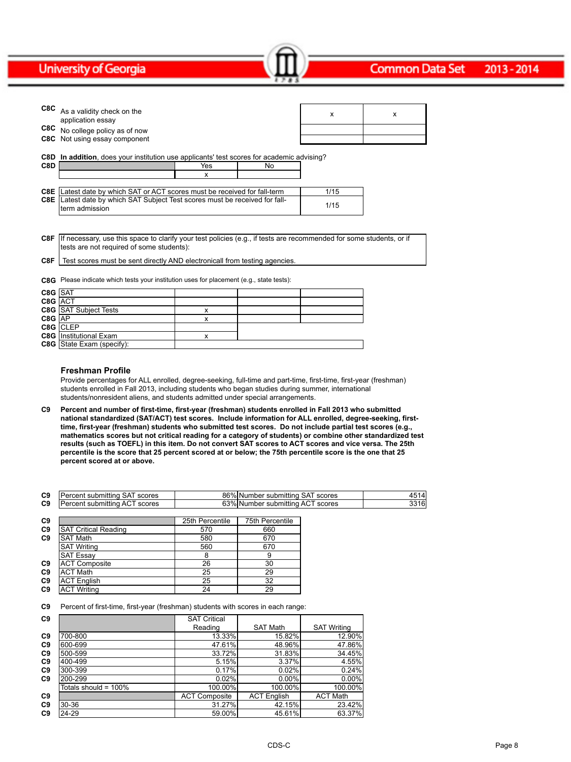|            | C8C As a validity check on the<br>application essay                                                   |     |    | x    | x |
|------------|-------------------------------------------------------------------------------------------------------|-----|----|------|---|
|            | C8C No college policy as of now                                                                       |     |    |      |   |
|            | <b>C8C</b> Not using essay component                                                                  |     |    |      |   |
| C8D<br>C8D | In addition, does your institution use applicants' test scores for academic advising?                 | Yes | No |      |   |
|            |                                                                                                       | x   |    |      |   |
|            | C8E   Latest date by which SAT or ACT scores must be received for fall-term                           |     |    | 1/15 |   |
|            | <b>C8E</b> Latest date by which SAT Subject Test scores must be received for fall-<br>Iterm admission |     |    | 1/15 |   |

Common Data Set 2013-2014

**C8F** If necessary, use this space to clarify your test policies (e.g., if tests are recommended for some students, or if tests are not required of some students):

**C8F** Test scores must be sent directly AND electronicall from testing agencies.

**C8G** Please indicate which tests your institution uses for placement (e.g., state tests):

| C8G SAT |                                  |   |  |
|---------|----------------------------------|---|--|
| C8G ACT |                                  |   |  |
|         | <b>C8G</b> SAT Subject Tests     | x |  |
| C8G AP  |                                  | x |  |
|         | C8G CLEP                         |   |  |
|         | <b>C8G</b> Institutional Exam    |   |  |
|         | <b>C8G</b> State Exam (specify): |   |  |

#### **Freshman Profile**

Provide percentages for ALL enrolled, degree-seeking, full-time and part-time, first-time, first-year (freshman) students enrolled in Fall 2013, including students who began studies during summer, international students/nonresident aliens, and students admitted under special arrangements.

**C9 Percent and number of first-time, first-year (freshman) students enrolled in Fall 2013 who submitted national standardized (SAT/ACT) test scores. Include information for ALL enrolled, degree-seeking, firsttime, first-year (freshman) students who submitted test scores. Do not include partial test scores (e.g., mathematics scores but not critical reading for a category of students) or combine other standardized test results (such as TOEFL) in this item. Do not convert SAT scores to ACT scores and vice versa. The 25th percentile is the score that 25 percent scored at or below; the 75th percentile score is the one that 25 percent scored at or above.**

| C9 | $\overline{\phantom{a}}$<br>.<br>scores<br>sunn<br>-11 | 86%<br>- - -<br>scores<br>÷ine<br>NH<br>nnei<br>une<br>suor<br>70 I<br>ш<br>۰ د. | 14                     |
|----|--------------------------------------------------------|----------------------------------------------------------------------------------|------------------------|
| C9 | $-$<br>scores<br>- 11<br>.                             | $\sim$<br>scores<br>™ttino<br>$\mathbf{u}$<br>nnei<br>suni<br>70 I<br>∼<br>u.    | 16.<br>. . U<br>$\sim$ |

| C9 |                             | 25th Percentile | 75th Percentile |
|----|-----------------------------|-----------------|-----------------|
| C9 | <b>SAT Critical Reading</b> | 570             | 660             |
| C9 | <b>SAT Math</b>             | 580             | 670             |
|    | <b>SAT Writing</b>          | 560             | 670             |
|    | <b>SAT Essay</b>            | 8               | 9               |
| C9 | <b>ACT Composite</b>        | 26              | 30              |
| C9 | <b>ACT Math</b>             | 25              | 29              |
| C9 | <b>ACT English</b>          | 25              | 32              |
| C9 | <b>ACT Writing</b>          | 24              | 29              |

**C9** Percent of first-time, first-year (freshman) students with scores in each range:

| C <sub>9</sub> |                      | <b>SAT Critical</b>  |                    |                    |
|----------------|----------------------|----------------------|--------------------|--------------------|
|                |                      | Reading              | <b>SAT Math</b>    | <b>SAT Writing</b> |
| C <sub>9</sub> | 700-800              | 13.33%               | 15.82%             | 12.90%             |
| C <sub>9</sub> | 600-699              | 47.61%               | 48.96%             | 47.86%             |
| C <sub>9</sub> | 500-599              | 33.72%               | 31.83%             | 34.45%             |
| C <sub>9</sub> | 400-499              | 5.15%                | 3.37%              | 4.55%              |
| C <sub>9</sub> | 300-399              | 0.17%                | 0.02%              | 0.24%              |
| C <sub>9</sub> | 200-299              | 0.02%                | $0.00\%$           | 0.00%              |
|                | Totals should = 100% | 100.00%              | 100.00%            | 100.00%            |
| C <sub>9</sub> |                      | <b>ACT Composite</b> | <b>ACT English</b> | <b>ACT Math</b>    |
| C <sub>9</sub> | 30-36                | 31.27%               | 42.15%             | 23.42%             |
| C <sub>9</sub> | 24-29                | 59.00%               | 45.61%             | 63.37%             |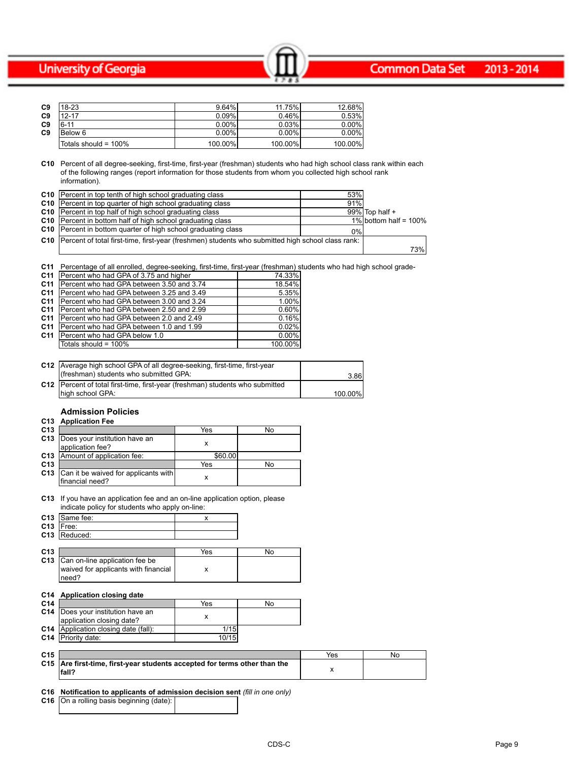#### **Common Data Set** 2013-2014

| C <sub>9</sub> | $18-23$                 | $9.64\%$ | 11.75%   | 12.68%   |
|----------------|-------------------------|----------|----------|----------|
| C <sub>9</sub> | $12 - 17$               | 0.09%    | 0.46%    | 0.53%    |
| C <sub>9</sub> | $6 - 11$                | $0.00\%$ | 0.03%    | 0.00%    |
| C <sub>9</sub> | Below 6                 | $0.00\%$ | $0.00\%$ | $0.00\%$ |
|                | Totals should = $100\%$ | 100.00%  | 100.00%  | 100.00%  |

**C10** Percent of all degree-seeking, first-time, first-year (freshman) students who had high school class rank within each of the following ranges (report information for those students from whom you collected high school rank information).

Common Data Set 2013-2014

| <b>C10</b> Percent in top tenth of high school graduating class                                         | 53% |                          |     |
|---------------------------------------------------------------------------------------------------------|-----|--------------------------|-----|
| <b>C10</b> Percent in top quarter of high school graduating class                                       | 91% |                          |     |
| <b>C10</b> Percent in top half of high school graduating class                                          |     | 99% Top half +           |     |
| <b>C10</b> Percent in bottom half of high school graduating class                                       |     | 1% bottom half = $100\%$ |     |
| <b>C10</b> Percent in bottom quarter of high school graduating class                                    | 0%  |                          |     |
| C10   Percent of total first-time, first-year (freshmen) students who submitted high school class rank: |     |                          |     |
|                                                                                                         |     |                          | 73% |

**C11** Percentage of all enrolled, degree-seeking, first-time, first-year (freshman) students who had high school grade-

| C11             | Percent who had GPA of 3.75 and higher     | 74.33%  |
|-----------------|--------------------------------------------|---------|
| C <sub>11</sub> | Percent who had GPA between 3.50 and 3.74  | 18.54%  |
| C <sub>11</sub> | IPercent who had GPA between 3.25 and 3.49 | 5.35%   |
| C <sub>11</sub> | IPercent who had GPA between 3.00 and 3.24 | 1.00%   |
| C <sub>11</sub> | IPercent who had GPA between 2.50 and 2.99 | 0.60%   |
| C <sub>11</sub> | Percent who had GPA between 2.0 and 2.49   | 0.16%   |
| C <sub>11</sub> | Percent who had GPA between 1.0 and 1.99   | 0.02%   |
| C <sub>11</sub> | <b>Percent who had GPA below 1.0</b>       | 0.00%   |
|                 | Totals should = 100%                       | 100.00% |

| C12   Average high school GPA of all degree-seeking, first-time, first-year   |         |
|-------------------------------------------------------------------------------|---------|
| (freshman) students who submitted GPA:                                        | 3.86    |
| C12 Percent of total first-time, first-year (freshman) students who submitted |         |
| Ihigh school GPA:                                                             | 100.00% |

## **Admission Policies**

#### **C13 Application Fee**

| C <sub>13</sub> |                                                         | Yes     | No |
|-----------------|---------------------------------------------------------|---------|----|
| C <sub>13</sub> | Does your institution have an<br>application fee?       |         |    |
|                 | C13 Amount of application fee:                          | \$60.00 |    |
| C <sub>13</sub> |                                                         | Yes     | No |
| C <sub>13</sub> | Can it be waived for applicants with<br>financial need? |         |    |

#### **C13** If you have an application fee and an on-line application option, please indicate policy for students who apply on-line:

|                 | C13 Same fee:                                                              |     |    |
|-----------------|----------------------------------------------------------------------------|-----|----|
|                 | $C13$ Free:                                                                |     |    |
|                 | C13 Reduced:                                                               |     |    |
|                 |                                                                            |     |    |
| C <sub>13</sub> |                                                                            | Yes | No |
|                 | C13 Can on-line application fee be<br>waived for applicants with financial |     |    |
|                 | need?                                                                      |     |    |

## **C14 Application closing date**

| C <sub>14</sub> |                                             | Yes   | No |
|-----------------|---------------------------------------------|-------|----|
|                 | <b>C14</b> Does your institution have an    |       |    |
|                 | application closing date?                   |       |    |
|                 | <b>C14</b> Application closing date (fall): | 1/15  |    |
|                 | <b>C14</b> Priority date:                   | 10/15 |    |

| C <sub>15</sub> |                                                                                                 | Yes | NC |
|-----------------|-------------------------------------------------------------------------------------------------|-----|----|
|                 | C15 Are first-time, first-year students accepted for terms other than the<br>lfall <sup>-</sup> |     |    |

### **C16 Notification to applicants of admission decision sent** *(fill in one only)*

**C16** On a rolling basis beginning (date):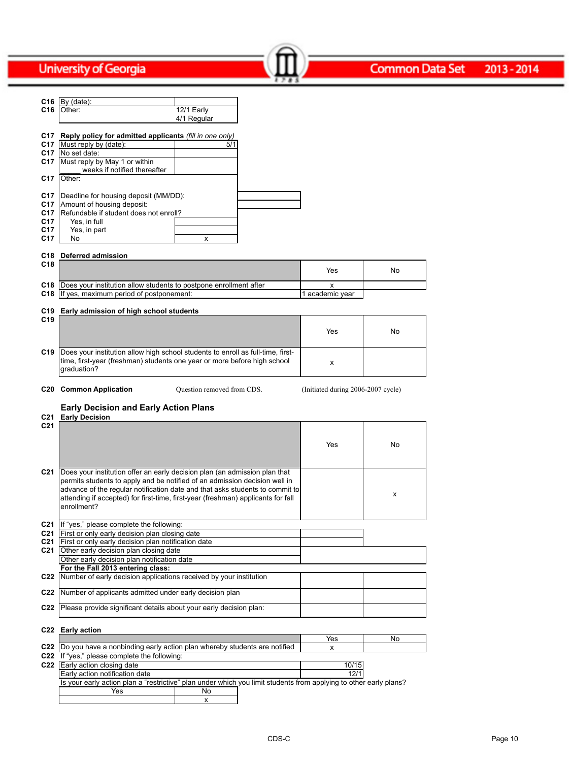|                 | C16 $By (date):$                                                                                                                                         |                            |                                    |     |
|-----------------|----------------------------------------------------------------------------------------------------------------------------------------------------------|----------------------------|------------------------------------|-----|
| C16             | 12/1 Early<br>Other:                                                                                                                                     |                            |                                    |     |
|                 | 4/1 Regular                                                                                                                                              |                            |                                    |     |
|                 |                                                                                                                                                          |                            |                                    |     |
|                 | C17 Reply policy for admitted applicants (fill in one only)                                                                                              |                            |                                    |     |
|                 | C17   Must reply by (date):<br>C17   No set date:                                                                                                        | 5/1                        |                                    |     |
| C17             | Must reply by May 1 or within                                                                                                                            |                            |                                    |     |
|                 | weeks if notified thereafter                                                                                                                             |                            |                                    |     |
| C17             | Other:                                                                                                                                                   |                            |                                    |     |
|                 |                                                                                                                                                          |                            |                                    |     |
| C17             | Deadline for housing deposit (MM/DD):                                                                                                                    |                            |                                    |     |
| C17<br>C17      | Amount of housing deposit:<br>Refundable if student does not enroll?                                                                                     |                            |                                    |     |
| C17             | Yes, in full                                                                                                                                             |                            |                                    |     |
| C17             | Yes, in part                                                                                                                                             |                            |                                    |     |
| C17             | No                                                                                                                                                       | x                          |                                    |     |
|                 |                                                                                                                                                          |                            |                                    |     |
| C <sub>18</sub> | C18 Deferred admission                                                                                                                                   |                            |                                    |     |
|                 |                                                                                                                                                          |                            | Yes                                | No. |
|                 | C18  Does your institution allow students to postpone enrollment after                                                                                   |                            |                                    |     |
| C18             | If yes, maximum period of postponement:                                                                                                                  |                            | х<br>1 academic year               |     |
|                 |                                                                                                                                                          |                            |                                    |     |
| C19             | Early admission of high school students                                                                                                                  |                            |                                    |     |
| C <sub>19</sub> |                                                                                                                                                          |                            |                                    |     |
|                 |                                                                                                                                                          |                            | Yes                                | No. |
|                 |                                                                                                                                                          |                            |                                    |     |
| C19             | Does your institution allow high school students to enroll as full-time, first-                                                                          |                            |                                    |     |
|                 | time, first-year (freshman) students one year or more before high school                                                                                 |                            | x                                  |     |
|                 | qraduation?                                                                                                                                              |                            |                                    |     |
|                 | <b>C20 Common Application</b>                                                                                                                            | Question removed from CDS. | (Initiated during 2006-2007 cycle) |     |
|                 |                                                                                                                                                          |                            |                                    |     |
|                 |                                                                                                                                                          |                            |                                    |     |
|                 | <b>Early Decision and Early Action Plans</b>                                                                                                             |                            |                                    |     |
| C21             | <b>Early Decision</b>                                                                                                                                    |                            |                                    |     |
| C <sub>21</sub> |                                                                                                                                                          |                            |                                    |     |
|                 |                                                                                                                                                          |                            |                                    |     |
|                 |                                                                                                                                                          |                            | Yes                                | No. |
|                 |                                                                                                                                                          |                            |                                    |     |
|                 |                                                                                                                                                          |                            |                                    |     |
| C21             | Does your institution offer an early decision plan (an admission plan that<br>permits students to apply and be notified of an admission decision well in |                            |                                    |     |
|                 | advance of the regular notification date and that asks students to commit to                                                                             |                            |                                    |     |
|                 | attending if accepted) for first-time, first-year (freshman) applicants for fall                                                                         |                            |                                    | x   |
|                 | enrollment?                                                                                                                                              |                            |                                    |     |
|                 |                                                                                                                                                          |                            |                                    |     |
| C21             | If "yes," please complete the following:                                                                                                                 |                            |                                    |     |
| C21<br>C21      | First or only early decision plan closing date                                                                                                           |                            |                                    |     |
| C21             | First or only early decision plan notification date<br>Other early decision plan closing date                                                            |                            |                                    |     |
|                 | Other early decision plan notification date                                                                                                              |                            |                                    |     |
|                 | For the Fall 2013 entering class:                                                                                                                        |                            |                                    |     |
| C22             | Number of early decision applications received by your institution                                                                                       |                            |                                    |     |
| C22             | Number of applicants admitted under early decision plan                                                                                                  |                            |                                    |     |
|                 |                                                                                                                                                          |                            |                                    |     |
| C22             | Please provide significant details about your early decision plan:                                                                                       |                            |                                    |     |
|                 |                                                                                                                                                          |                            |                                    |     |
|                 | C22 Early action                                                                                                                                         |                            | Yes                                | No  |
|                 | C22  Do you have a nonbinding early action plan whereby students are notified                                                                            |                            | x                                  |     |
|                 | C22 If "yes," please complete the following:                                                                                                             |                            |                                    |     |
|                 | C22 Early action closing date                                                                                                                            |                            | 10/15                              |     |
|                 | Early action notification date                                                                                                                           |                            | 12/1                               |     |
|                 | Is your early action plan a "restrictive" plan under which you limit students from applying to other early plans?<br>Yes                                 | No                         |                                    |     |

Common Data Set 2013-2014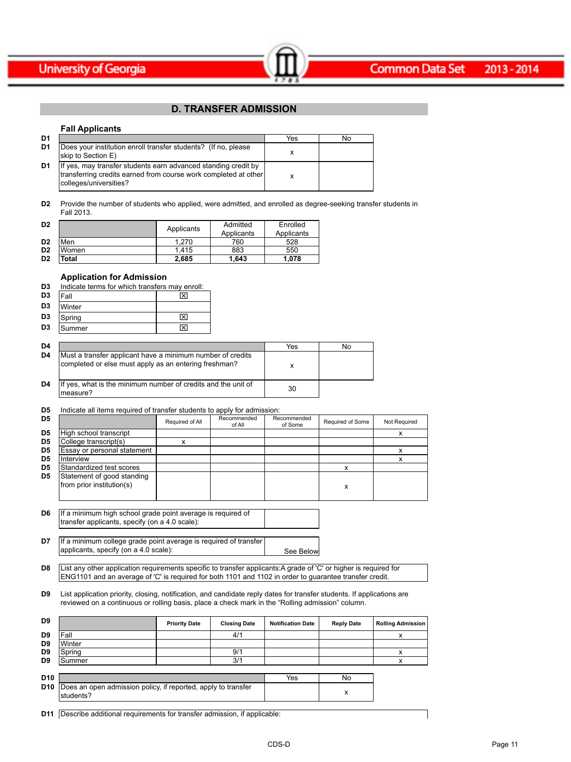



## **D. TRANSFER ADMISSION**

Common Data Set 2013-2014

#### **Fall Applicants**

| D1 |                                                                                                                                                             | Yes | No |
|----|-------------------------------------------------------------------------------------------------------------------------------------------------------------|-----|----|
| D1 | Does your institution enroll transfer students? (If no, please<br>skip to Section E)                                                                        |     |    |
| D1 | If yes, may transfer students earn advanced standing credit by<br>transferring credits earned from course work completed at other<br>colleges/universities? |     |    |

**D2** Provide the number of students who applied, were admitted, and enrolled as degree-seeking transfer students in Fall 2013.

| D <sub>2</sub> |       | Applicants | Admitted   | Enrolled   |
|----------------|-------|------------|------------|------------|
|                |       |            | Applicants | Applicants |
| D <sub>2</sub> | Men   | 1.270      | 760        | 528        |
| D <sub>2</sub> | Women | 1.415      | 883        | 550        |
| D <sub>2</sub> | Total | 2.685      | 1.643      | 1.078      |

### **Application for Admission**

applicants, specify (on a 4.0 scale):

| D <sub>3</sub> | Indicate terms for which transfers may enroll: |   |  |  |  |  |
|----------------|------------------------------------------------|---|--|--|--|--|
| D <sub>3</sub> | ⊠<br>Fall                                      |   |  |  |  |  |
| D <sub>3</sub> | Winter                                         |   |  |  |  |  |
| D <sub>3</sub> | Spring                                         | ⊠ |  |  |  |  |
| D <sub>3</sub> | Summer                                         | ⊠ |  |  |  |  |

| D4 |                                                                                                                     | Yes | No |
|----|---------------------------------------------------------------------------------------------------------------------|-----|----|
| D4 | Must a transfer applicant have a minimum number of credits<br>completed or else must apply as an entering freshman? |     |    |
| D4 | If yes, what is the minimum number of credits and the unit of<br>Imeasure?                                          | 30  |    |

#### **D5** Indicate all items required of transfer students to apply for admission:

| D <sub>5</sub> |                                                                                                               | Required of All | Recommended<br>of All | Recommended<br>of Some | Required of Some | Not Required |
|----------------|---------------------------------------------------------------------------------------------------------------|-----------------|-----------------------|------------------------|------------------|--------------|
| D <sub>5</sub> | High school transcript                                                                                        |                 |                       |                        |                  | x            |
| D <sub>5</sub> | College transcript(s)                                                                                         | x               |                       |                        |                  |              |
| D <sub>5</sub> | Essay or personal statement                                                                                   |                 |                       |                        |                  | x            |
| D <sub>5</sub> | <b>Interview</b>                                                                                              |                 |                       |                        |                  | x            |
| D <sub>5</sub> | Standardized test scores                                                                                      |                 |                       |                        | x                |              |
| D <sub>5</sub> | Statement of good standing<br>from prior institution(s)                                                       |                 |                       |                        | x                |              |
| D6             | If a minimum high school grade point average is required of<br>transfer applicants, specify (on a 4.0 scale): |                 |                       |                        |                  |              |
| D7             | If a minimum college grade point average is required of transfer                                              |                 |                       |                        |                  |              |

**D8** List any other application requirements specific to transfer applicants:A grade of 'C' or higher is required for ENG1101 and an average of 'C' is required for both 1101 and 1102 in order to guarantee transfer credit.

**D9** List application priority, closing, notification, and candidate reply dates for transfer students. If applications are reviewed on a continuous or rolling basis, place a check mark in the "Rolling admission" column.

| D9              |                                                                               | <b>Priority Date</b> | <b>Closing Date</b> | <b>Notification Date</b> | <b>Reply Date</b> | <b>Rolling Admission</b> |
|-----------------|-------------------------------------------------------------------------------|----------------------|---------------------|--------------------------|-------------------|--------------------------|
| D9              | Fall                                                                          |                      | 4/1                 |                          |                   |                          |
| D9              | Winter                                                                        |                      |                     |                          |                   |                          |
| D9              | Spring                                                                        |                      | 9/1                 |                          |                   |                          |
| D <sub>9</sub>  | Summer                                                                        |                      | 3/1                 |                          |                   |                          |
|                 |                                                                               |                      |                     |                          |                   |                          |
| D <sub>10</sub> |                                                                               |                      |                     | Yes                      | No                |                          |
| D <sub>10</sub> | Does an open admission policy, if reported, apply to transfer<br>$b$ tudente? |                      |                     |                          | x                 |                          |

|  | <b>D11</b>   Describe additional requirements for transfer admission, if applicable: |  |  |  |  |
|--|--------------------------------------------------------------------------------------|--|--|--|--|
|--|--------------------------------------------------------------------------------------|--|--|--|--|

students?

See Below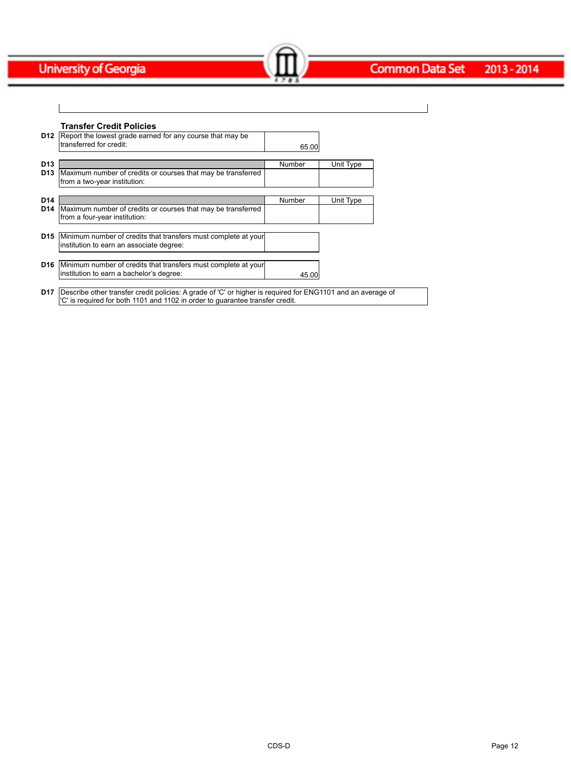# Common Data Set 2013 - 2014

| <b>Transfer Credit Policies</b>                                                                                    |        |           |
|--------------------------------------------------------------------------------------------------------------------|--------|-----------|
| Report the lowest grade earned for any course that may be<br>D12<br>transferred for credit:                        | 65.00  |           |
| D <sub>13</sub>                                                                                                    | Number | Unit Type |
| Maximum number of credits or courses that may be transferred<br>D <sub>13</sub><br>from a two-year institution:    |        |           |
| D <sub>14</sub>                                                                                                    | Number | Unit Type |
| Maximum number of credits or courses that may be transferred<br>D14<br>from a four-year institution:               |        |           |
| Minimum number of credits that transfers must complete at your<br>D15<br>institution to earn an associate degree:  |        |           |
| D <sub>16</sub><br>Minimum number of credits that transfers must complete at your                                  |        |           |
| institution to earn a bachelor's degree:                                                                           | 45.00  |           |
| Describe other transfer credit policies: A grade of 'C' or higher is required for ENG1101 and an average of<br>D17 |        |           |

Common Data Set 2013-2014

'C' is required for both 1101 and 1102 in order to guarantee transfer credit.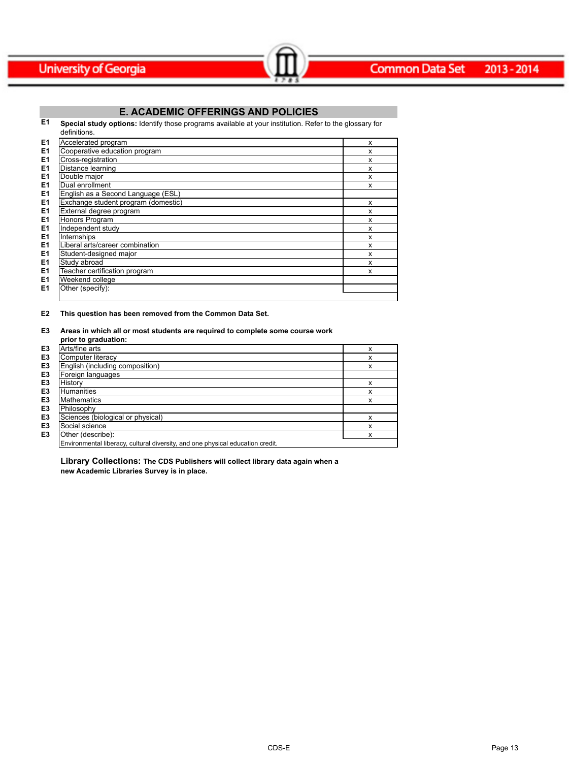

## **E. ACADEMIC OFFERINGS AND POLICIES**

Common Data Set 2013-2014

**E1 Special study options:** Identify those programs available at your institution. Refer to the glossary for

|                | definitions.                        |   |
|----------------|-------------------------------------|---|
| E <sub>1</sub> | Accelerated program                 | x |
| E <sub>1</sub> | Cooperative education program       | x |
| E <sub>1</sub> | Cross-registration                  | x |
| E <sub>1</sub> | Distance learning                   | x |
| E <sub>1</sub> | Double major                        | x |
| E <sub>1</sub> | Dual enrollment                     | x |
| E <sub>1</sub> | English as a Second Language (ESL)  |   |
| E <sub>1</sub> | Exchange student program (domestic) | x |
| E <sub>1</sub> | External degree program             | x |
| E <sub>1</sub> | Honors Program                      | x |
| E <sub>1</sub> | Independent study                   | x |
| E1             | Internships                         | x |
| E <sub>1</sub> | Liberal arts/career combination     | x |
| E <sub>1</sub> | Student-designed major              | x |
| E <sub>1</sub> | Study abroad                        | x |
| E <sub>1</sub> | Teacher certification program       | x |
| E <sub>1</sub> | Weekend college                     |   |
| E <sub>1</sub> | Other (specify):                    |   |
|                |                                     |   |

### **E2 This question has been removed from the Common Data Set.**

### **E3 Areas in which all or most students are required to complete some course work**

|                | prior to graduation:                                                           |   |
|----------------|--------------------------------------------------------------------------------|---|
| E3             | Arts/fine arts                                                                 | x |
| E3             | Computer literacy                                                              | x |
| E3             | English (including composition)                                                | x |
| E3             | Foreign languages                                                              |   |
| E3             | Historv                                                                        | x |
| E3             | Humanities                                                                     | x |
| E3             | Mathematics                                                                    | x |
| E3             | Philosophy                                                                     |   |
| E3             | Sciences (biological or physical)                                              | x |
| E3             | Social science                                                                 | x |
| E <sub>3</sub> | Other (describe):                                                              | x |
|                | Environmental liberacy, cultural diversity, and one physical education credit. |   |

**Library Collections: The CDS Publishers will collect library data again when a new Academic Libraries Survey is in place.**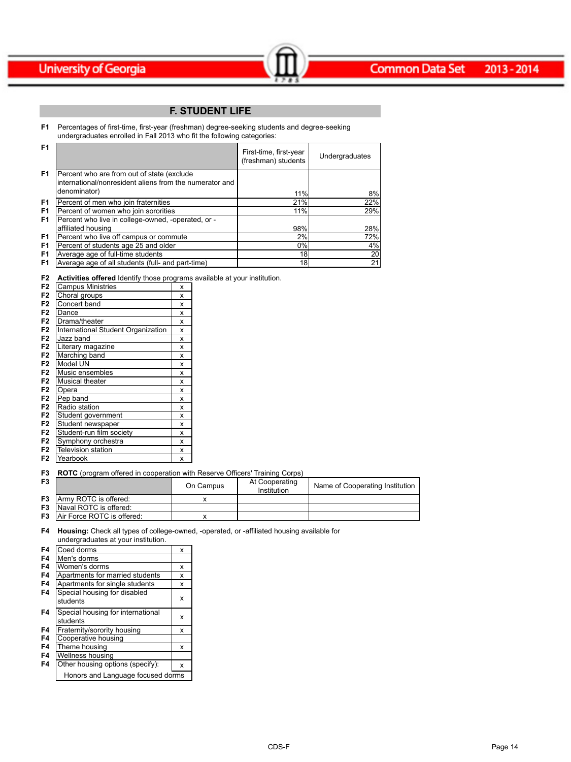## **F. STUDENT LIFE**

 $\sim$   $\sim$   $\sim$   $\sim$   $\sim$   $\sim$   $\sim$ 

**F1** Percentages of first-time, first-year (freshman) degree-seeking students and degree-seeking undergraduates enrolled in Fall 2013 who fit the following categories:

| F <sub>1</sub> |                                                                                                                        | First-time, first-year<br>(freshman) students | Undergraduates |
|----------------|------------------------------------------------------------------------------------------------------------------------|-----------------------------------------------|----------------|
| F <sub>1</sub> | Percent who are from out of state (exclude<br>linternational/nonresident aliens from the numerator and<br>denominator) | 11%                                           | 8%             |
| F <sub>1</sub> | Percent of men who join fraternities                                                                                   | 21%                                           | 22%            |
| F <sub>1</sub> | Percent of women who join sororities                                                                                   | 11%                                           | 29%            |
| F <sub>1</sub> | Percent who live in college-owned, -operated, or -                                                                     |                                               |                |
|                | affiliated housing                                                                                                     | 98%                                           | 28%            |
| F <sub>1</sub> | Percent who live off campus or commute                                                                                 | 2%                                            | 72%            |
| F <sub>1</sub> | Percent of students age 25 and older                                                                                   | 0%                                            | 4%             |
| F <sub>1</sub> | Average age of full-time students                                                                                      | 18                                            | 20             |
| F <sub>1</sub> | Average age of all students (full- and part-time)                                                                      | 18I                                           | 21             |

**F2 Activities offered** Identify those programs available at your institution.

| F <sub>2</sub> | <b>Campus Ministries</b>           | X |
|----------------|------------------------------------|---|
| F <sub>2</sub> | Choral groups                      | X |
| F <sub>2</sub> | Concert band                       | x |
| F <sub>2</sub> | Dance                              | x |
| F <sub>2</sub> | Drama/theater                      | X |
| F <sub>2</sub> | International Student Organization | x |
| F <sub>2</sub> | Jazz band                          | x |
| F <sub>2</sub> | Literary magazine                  | x |
| F <sub>2</sub> | Marching band                      | x |
| F <sub>2</sub> | Model UN                           | X |
| F <sub>2</sub> | Music ensembles                    | X |
| F <sub>2</sub> | Musical theater                    | X |
| F <sub>2</sub> | Opera                              | x |
| F <sub>2</sub> | Pep band                           | X |
| F <sub>2</sub> | Radio station                      | X |
| F <sub>2</sub> | Student government                 | x |
| F <sub>2</sub> | Student newspaper                  | x |
| F <sub>2</sub> | Student-run film society           | x |
| F <sub>2</sub> | Symphony orchestra                 | X |
| F <sub>2</sub> | Television station                 | x |
| F2             | Yearbook                           | X |

**F3 ROTC** (program offered in cooperation with Reserve Officers' Training Corps)

| F <sub>3</sub> |                                      | On Campus | At Cooperating<br>Institution | Name of Cooperating Institution |
|----------------|--------------------------------------|-----------|-------------------------------|---------------------------------|
| F3             | Army ROTC is offered:                |           |                               |                                 |
| F <sub>3</sub> | Naval ROTC is offered:               |           |                               |                                 |
|                | <b>F3</b> Air Force ROTC is offered: |           |                               |                                 |

**F4 Housing:** Check all types of college-owned, -operated, or -affiliated housing available for undergraduates at your institution.

| F4 | Coed dorms                                    | x |
|----|-----------------------------------------------|---|
| F4 | Men's dorms                                   |   |
| F4 | Women's dorms                                 | x |
| F4 | Apartments for married students               | x |
| F4 | Apartments for single students                | x |
| F4 | Special housing for disabled<br>students      | x |
| F4 | Special housing for international<br>students | x |
| F4 | Fraternity/sorority housing                   | x |
| F4 | Cooperative housing                           |   |
| F4 | Theme housing                                 | x |
| F4 | Wellness housing                              |   |
| F4 | Other housing options (specify):              | x |
|    | Honors and Language focused dorms             |   |
|    |                                               |   |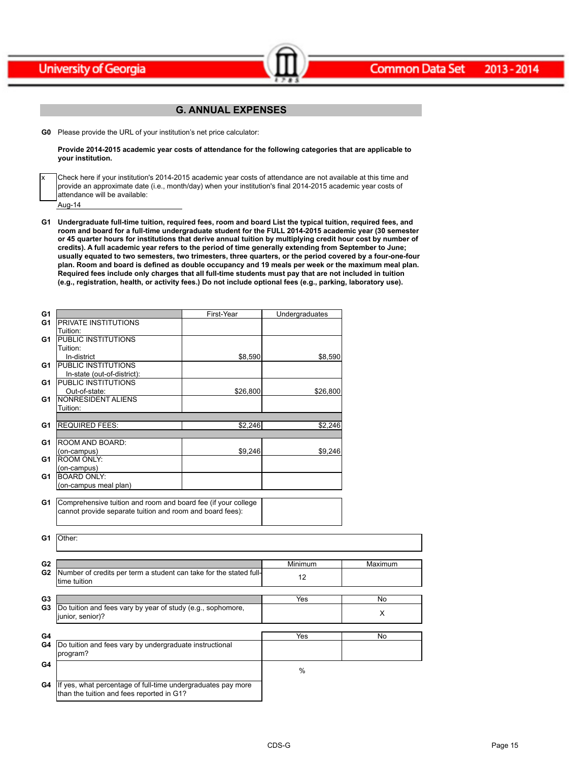x



## **G. ANNUAL EXPENSES**

Common Data Set 2013-2014

**G0** Please provide the URL of your institution's net price calculator:

**Provide 2014-2015 academic year costs of attendance for the following categories that are applicable to your institution.**

Aug-14 Check here if your institution's 2014-2015 academic year costs of attendance are not available at this time and provide an approximate date (i.e., month/day) when your institution's final 2014-2015 academic year costs of attendance will be available:

**G1 Undergraduate full-time tuition, required fees, room and board List the typical tuition, required fees, and room and board for a full-time undergraduate student for the FULL 2014-2015 academic year (30 semester or 45 quarter hours for institutions that derive annual tuition by multiplying credit hour cost by number of credits). A full academic year refers to the period of time generally extending from September to June; usually equated to two semesters, two trimesters, three quarters, or the period covered by a four-one-four plan. Room and board is defined as double occupancy and 19 meals per week or the maximum meal plan. Required fees include only charges that all full-time students must pay that are not included in tuition (e.g., registration, health, or activity fees.) Do not include optional fees (e.g., parking, laboratory use).**

| G <sub>1</sub> |                                                                    | First-Year | Undergraduates |           |
|----------------|--------------------------------------------------------------------|------------|----------------|-----------|
| G1             | <b>PRIVATE INSTITUTIONS</b>                                        |            |                |           |
|                | Tuition:                                                           |            |                |           |
| G1             | <b>PUBLIC INSTITUTIONS</b>                                         |            |                |           |
|                | Tuition:                                                           |            |                |           |
|                | In-district                                                        | \$8,590    | \$8,590        |           |
| G1             | <b>PUBLIC INSTITUTIONS</b>                                         |            |                |           |
|                | In-state (out-of-district):                                        |            |                |           |
| G1             | <b>PUBLIC INSTITUTIONS</b>                                         |            |                |           |
|                | Out-of-state:                                                      | \$26,800   | \$26,800       |           |
| G1             | NONRESIDENT ALIENS                                                 |            |                |           |
|                | Tuition:                                                           |            |                |           |
|                |                                                                    |            |                |           |
| G <sub>1</sub> | <b>REQUIRED FEES:</b>                                              | \$2,246    | \$2,246        |           |
|                |                                                                    |            |                |           |
| G1             | ROOM AND BOARD:                                                    |            |                |           |
|                | (on-campus)                                                        | \$9,246    | \$9,246        |           |
| G1             | <b>ROOM ONLY:</b>                                                  |            |                |           |
|                | (on-campus)                                                        |            |                |           |
| G <sub>1</sub> | <b>BOARD ONLY:</b>                                                 |            |                |           |
|                | (on-campus meal plan)                                              |            |                |           |
|                |                                                                    |            |                |           |
| G1             | Comprehensive tuition and room and board fee (if your college      |            |                |           |
|                | cannot provide separate tuition and room and board fees):          |            |                |           |
|                |                                                                    |            |                |           |
|                |                                                                    |            |                |           |
| G1             | Other:                                                             |            |                |           |
|                |                                                                    |            |                |           |
|                |                                                                    |            |                |           |
| G <sub>2</sub> |                                                                    |            | Minimum        | Maximum   |
| G <sub>2</sub> | Number of credits per term a student can take for the stated full- |            |                |           |
|                | ltime tuition                                                      |            | 12             |           |
|                |                                                                    |            |                |           |
| G <sub>3</sub> |                                                                    |            | Yes            | <b>No</b> |
| G <sub>3</sub> | Do tuition and fees vary by year of study (e.g., sophomore,        |            |                |           |
|                | junior, senior)?                                                   |            |                | X         |
|                |                                                                    |            |                |           |
| G4             |                                                                    |            | Yes            | No        |
| G4             | Do tuition and fees vary by undergraduate instructional            |            |                |           |
|                | program?                                                           |            |                |           |
|                |                                                                    |            |                |           |
| G4             |                                                                    |            | %              |           |
|                |                                                                    |            |                |           |
| G4             | If yes, what percentage of full-time undergraduates pay more       |            |                |           |
|                | than the tuition and fees reported in G1?                          |            |                |           |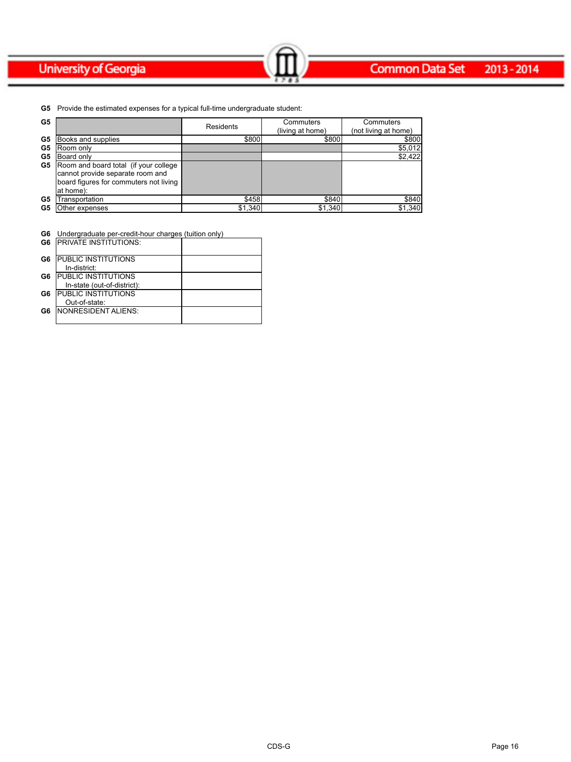### **Common Data Set** 2013-2014

**G5** Provide the estimated expenses for a typical full-time undergraduate student:

| G5 |                                        | Residents | Commuters        | Commuters            |
|----|----------------------------------------|-----------|------------------|----------------------|
|    |                                        |           | (living at home) | (not living at home) |
| G5 | Books and supplies                     | \$800     | \$800            | \$800                |
| G5 | Room only                              |           |                  | \$5,012              |
| G5 | Board only                             |           |                  | \$2,422              |
| G5 | Room and board total (if your college  |           |                  |                      |
|    | cannot provide separate room and       |           |                  |                      |
|    | board figures for commuters not living |           |                  |                      |
|    | lat home):                             |           |                  |                      |
| G5 | Transportation                         | \$458     | \$840            | \$840                |
| G5 | Other expenses                         | \$1,340   | \$1,340          | \$1,340              |

Common Data Set 2013-2014

**G6** Undergraduate per-credit-hour charges (tuition only)

|    | <b>G6</b> IPRIVATE INSTITUTIONS: |  |
|----|----------------------------------|--|
| G6 | <b>IPUBLIC INSTITUTIONS</b>      |  |
|    | In-district:                     |  |
| G6 | <b>PUBLIC INSTITUTIONS</b>       |  |
|    | In-state (out-of-district):      |  |
| G6 | <b>PUBLIC INSTITUTIONS</b>       |  |
|    | Out-of-state:                    |  |
| G6 | <b>INONRESIDENT ALIENS:</b>      |  |
|    |                                  |  |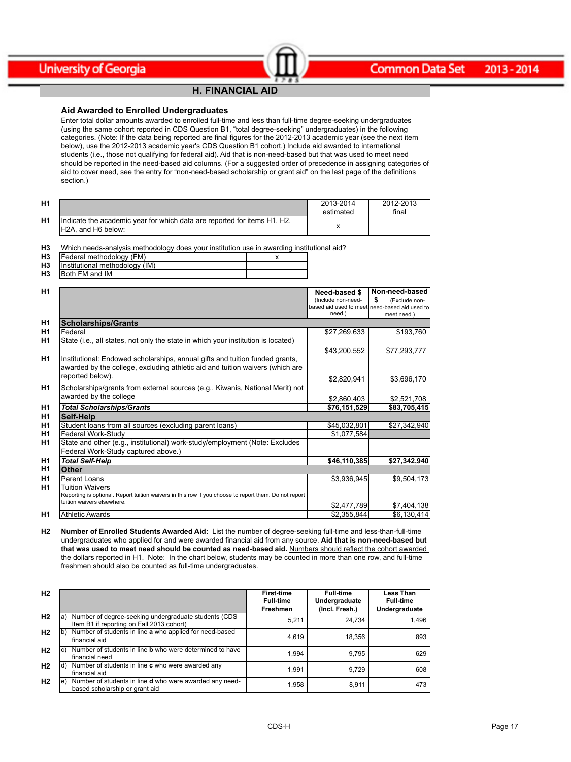### **H. FINANCIAL AID**

 $-\left( \mathbf{m}\right) -$ 

### **Aid Awarded to Enrolled Undergraduates**

Enter total dollar amounts awarded to enrolled full-time and less than full-time degree-seeking undergraduates (using the same cohort reported in CDS Question B1, "total degree-seeking" undergraduates) in the following categories. (Note: If the data being reported are final figures for the 2012-2013 academic year (see the next item below), use the 2012-2013 academic year's CDS Question B1 cohort.) Include aid awarded to international students (i.e., those not qualifying for federal aid). Aid that is non-need-based but that was used to meet need should be reported in the need-based aid columns. (For a suggested order of precedence in assigning categories of aid to cover need, see the entry for "non-need-based scholarship or grant aid" on the last page of the definitions section.)

| H <sub>1</sub> |                                                                                                 | 2013-2014<br>estimated | 2012-2013<br>final |
|----------------|-------------------------------------------------------------------------------------------------|------------------------|--------------------|
| H <sub>1</sub> | Indicate the academic year for which data are reported for items H1, H2,<br>IH2A, and H6 below: |                        |                    |

**H3** Which needs-analysis methodology does your institution use in awarding institutional aid?

| H <sub>3</sub> | IFederal methodology (FM)      |  |
|----------------|--------------------------------|--|
| H <sub>3</sub> | Institutional methodology (IM) |  |
| H <sub>3</sub> | <b>IBoth FM and IM</b>         |  |

| H1             |                                                                                                       | Need-based \$      | Non-need-based                                |
|----------------|-------------------------------------------------------------------------------------------------------|--------------------|-----------------------------------------------|
|                |                                                                                                       | (Include non-need- | \$<br>(Exclude non-                           |
|                |                                                                                                       |                    | based aid used to meet need-based aid used to |
|                |                                                                                                       | need.)             | meet need.)                                   |
| H1             | <b>Scholarships/Grants</b>                                                                            |                    |                                               |
| H1             | Federal                                                                                               | \$27,269,633       | \$193,760                                     |
| H1             | State (i.e., all states, not only the state in which your institution is located)                     |                    |                                               |
|                |                                                                                                       | \$43,200,552       | \$77,293,777                                  |
| H1             | Institutional: Endowed scholarships, annual gifts and tuition funded grants,                          |                    |                                               |
|                | awarded by the college, excluding athletic aid and tuition waivers (which are                         |                    |                                               |
|                | reported below).                                                                                      | \$2,820,941        | \$3,696,170                                   |
| H1             | Scholarships/grants from external sources (e.g., Kiwanis, National Merit) not                         |                    |                                               |
|                | awarded by the college                                                                                | \$2,860,403        | \$2,521,708                                   |
| H1             | <b>Total Scholarships/Grants</b>                                                                      | \$76,151,529       | \$83,705,415                                  |
| H1             | Self-Help                                                                                             |                    |                                               |
| H1             | Student loans from all sources (excluding parent loans)                                               | \$45,032,801       | \$27,342,940                                  |
| H1             | Federal Work-Study                                                                                    | \$1,077,584        |                                               |
| H1             | State and other (e.g., institutional) work-study/employment (Note: Excludes                           |                    |                                               |
|                | Federal Work-Study captured above.)                                                                   |                    |                                               |
| H1             | <b>Total Self-Help</b>                                                                                | \$46,110,385       | \$27,342,940                                  |
| H1             | Other                                                                                                 |                    |                                               |
| H1             | Parent Loans                                                                                          | \$3,936,945        | \$9,504,173                                   |
| H1             | <b>Tuition Waivers</b>                                                                                |                    |                                               |
|                | Reporting is optional. Report tuition waivers in this row if you choose to report them. Do not report |                    |                                               |
|                | tuition waivers elsewhere.                                                                            | \$2,477,789        | \$7,404,138                                   |
| H <sub>1</sub> | Athletic Awards                                                                                       | \$2,355,844        | \$6,130,414]                                  |

**H2 Number of Enrolled Students Awarded Aid:** List the number of degree-seeking full-time and less-than-full-time undergraduates who applied for and were awarded financial aid from any source. **Aid that is non-need-based but that was used to meet need should be counted as need-based aid.** Numbers should reflect the cohort awarded the dollars reported in H1. Note: In the chart below, students may be counted in more than one row, and full-time freshmen should also be counted as full-time undergraduates.

| H <sub>2</sub> |                                                                                                          | <b>First-time</b><br><b>Full-time</b><br>Freshmen | <b>Full-time</b><br>Undergraduate<br>(Incl. Fresh.) | <b>Less Than</b><br><b>Full-time</b><br>Undergraduate |
|----------------|----------------------------------------------------------------------------------------------------------|---------------------------------------------------|-----------------------------------------------------|-------------------------------------------------------|
| H <sub>2</sub> | Number of degree-seeking undergraduate students (CDS<br>la)<br>Item B1 if reporting on Fall 2013 cohort) | 5.211                                             | 24.734                                              | 1.496                                                 |
| H <sub>2</sub> | Number of students in line a who applied for need-based<br>lb).<br>financial aid                         | 4.619                                             | 18.356                                              | 893                                                   |
| H <sub>2</sub> | Number of students in line <b>b</b> who were determined to have<br>lc)<br>financial need                 | 1.994                                             | 9.795                                               | 629                                                   |
| H <sub>2</sub> | $(d)$ Number of students in line $c$ who were awarded any<br>financial aid                               | 1.991                                             | 9.729                                               | 608                                                   |
| H <sub>2</sub> | Number of students in line <b>d</b> who were awarded any need-<br>le)<br>based scholarship or grant aid  | 1.958                                             | 8.911                                               | 473                                                   |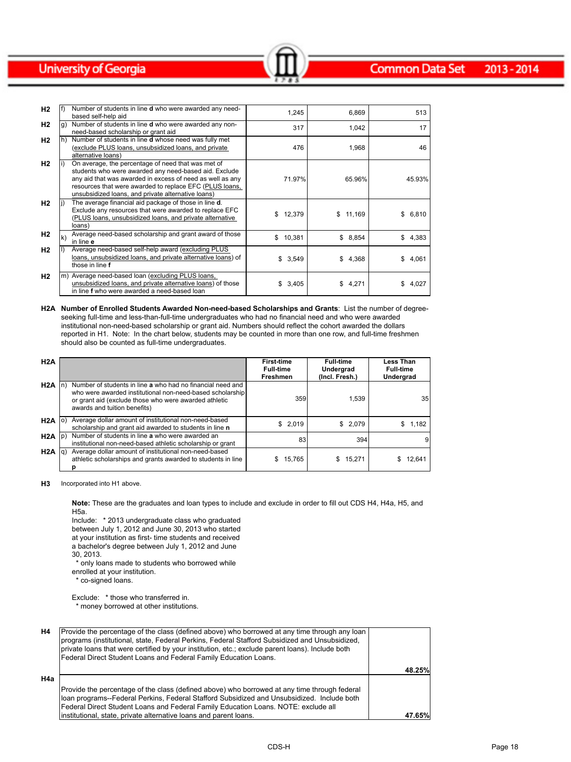| H2        |     | Number of students in line d who were awarded any need-<br>based self-help aid                                                                                                                                                                                                            | 1,245        | 6,869    | 513         |
|-----------|-----|-------------------------------------------------------------------------------------------------------------------------------------------------------------------------------------------------------------------------------------------------------------------------------------------|--------------|----------|-------------|
| H2        | Ig) | Number of students in line <b>d</b> who were awarded any non-<br>need-based scholarship or grant aid                                                                                                                                                                                      | 317          | 1,042    | 17          |
| H2        |     | Number of students in line <b>d</b> whose need was fully met<br>(exclude PLUS loans, unsubsidized loans, and private<br>alternative loans)                                                                                                                                                | 476          | 1,968    | 46          |
| H2        |     | On average, the percentage of need that was met of<br>students who were awarded any need-based aid. Exclude<br>any aid that was awarded in excess of need as well as any<br>resources that were awarded to replace EFC (PLUS loans,<br>unsubsidized loans, and private alternative loans) | 71.97%       | 65.96%   | 45.93%      |
| H2        |     | The average financial aid package of those in line <b>d</b> .<br>Exclude any resources that were awarded to replace EFC<br>(PLUS loans, unsubsidized loans, and private alternative<br>loans)                                                                                             | \$12,379     | \$11,169 | \$6,810     |
| H2        | lk) | Average need-based scholarship and grant award of those<br>in line e                                                                                                                                                                                                                      | \$<br>10,381 | \$8,854  | \$4,383     |
| H2        |     | Average need-based self-help award (excluding PLUS<br>loans, unsubsidized loans, and private alternative loans) of<br>those in line f                                                                                                                                                     | \$3,549      | \$4,368  | 4,061<br>\$ |
| <b>H2</b> |     | m) Average need-based loan (excluding PLUS loans,<br>unsubsidized loans, and private alternative loans) of those<br>in line f who were awarded a need-based loan                                                                                                                          | 3,405        | \$4,271  | 4,027<br>S. |

 $\sim$   $\sim$   $\sim$   $\sim$   $\sim$   $\sim$   $\sim$ 

**H2A Number of Enrolled Students Awarded Non-need-based Scholarships and Grants**: List the number of degreeseeking full-time and less-than-full-time undergraduates who had no financial need and who were awarded institutional non-need-based scholarship or grant aid. Numbers should reflect the cohort awarded the dollars reported in H1. Note: In the chart below, students may be counted in more than one row, and full-time freshmen should also be counted as full-time undergraduates.

| H2A               |     |                                                                                                                                                                                                                  | <b>First-time</b><br><b>Full-time</b><br>Freshmen | <b>Full-time</b><br>Undergrad<br>(Incl. Fresh.) | <b>Less Than</b><br><b>Full-time</b><br>Undergrad |
|-------------------|-----|------------------------------------------------------------------------------------------------------------------------------------------------------------------------------------------------------------------|---------------------------------------------------|-------------------------------------------------|---------------------------------------------------|
| H2A               |     | Number of students in line a who had no financial need and<br>who were awarded institutional non-need-based scholarship<br>or grant aid (exclude those who were awarded athletic<br>awards and tuition benefits) | 359                                               | 1.539                                           | 35                                                |
| H2A               | lo. | Average dollar amount of institutional non-need-based<br>scholarship and grant aid awarded to students in line n                                                                                                 | \$2,019                                           | \$2,079                                         | \$1,182                                           |
| $H2A$ $ p\rangle$ |     | Number of students in line a who were awarded an<br>institutional non-need-based athletic scholarship or grant                                                                                                   | 83                                                | 394                                             |                                                   |
| H2A  q            |     | Average dollar amount of institutional non-need-based<br>athletic scholarships and grants awarded to students in line<br>n                                                                                       | 15.765                                            | 15.271                                          | 12.641                                            |

**H3** Incorporated into H1 above.

**Note:** These are the graduates and loan types to include and exclude in order to fill out CDS H4, H4a, H5, and H5a.

Include: \* 2013 undergraduate class who graduated between July 1, 2012 and June 30, 2013 who started at your institution as first- time students and received a bachelor's degree between July 1, 2012 and June 30, 2013.

 \* only loans made to students who borrowed while enrolled at your institution.

\* co-signed loans.

Exclude: \* those who transferred in.

\* money borrowed at other institutions.

| H4  | Provide the percentage of the class (defined above) who borrowed at any time through any loan<br>programs (institutional, state, Federal Perkins, Federal Stafford Subsidized and Unsubsidized,<br>private loans that were certified by your institution, etc.; exclude parent loans). Include both<br>Federal Direct Student Loans and Federal Family Education Loans. |        |
|-----|-------------------------------------------------------------------------------------------------------------------------------------------------------------------------------------------------------------------------------------------------------------------------------------------------------------------------------------------------------------------------|--------|
|     |                                                                                                                                                                                                                                                                                                                                                                         | 48.25% |
| H4a |                                                                                                                                                                                                                                                                                                                                                                         |        |
|     | Provide the percentage of the class (defined above) who borrowed at any time through federal                                                                                                                                                                                                                                                                            |        |
|     | Iloan programs--Federal Perkins, Federal Stafford Subsidized and Unsubsidized. Include both                                                                                                                                                                                                                                                                             |        |
|     | Federal Direct Student Loans and Federal Family Education Loans. NOTE: exclude all                                                                                                                                                                                                                                                                                      |        |
|     | institutional, state, private alternative loans and parent loans.                                                                                                                                                                                                                                                                                                       | 47.65% |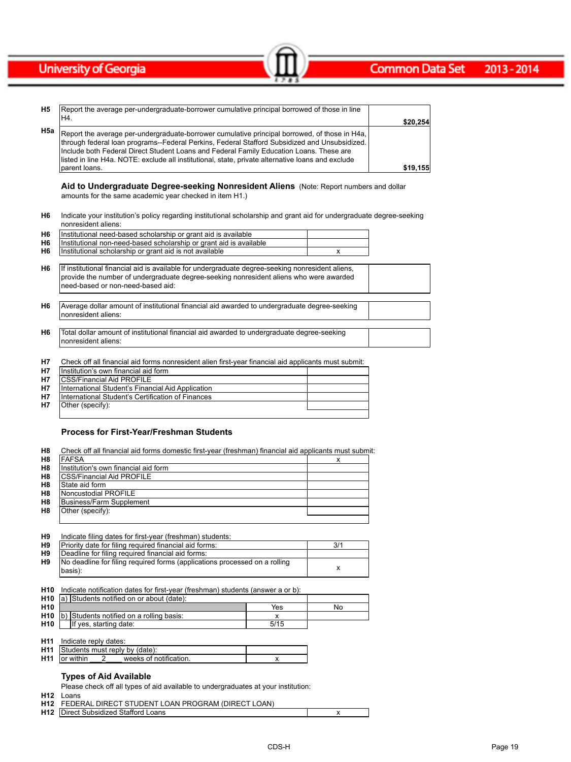| <b>H5</b> | Report the average per-undergraduate-borrower cumulative principal borrowed of those in line                                                                                                                                                                                                                                                                                                   |          |
|-----------|------------------------------------------------------------------------------------------------------------------------------------------------------------------------------------------------------------------------------------------------------------------------------------------------------------------------------------------------------------------------------------------------|----------|
|           | IH4.                                                                                                                                                                                                                                                                                                                                                                                           | \$20,254 |
| H5a       | Report the average per-undergraduate-borrower cumulative principal borrowed, of those in H4a,<br>through federal loan programs--Federal Perkins, Federal Stafford Subsidized and Unsubsidized.<br>Include both Federal Direct Student Loans and Federal Family Education Loans. These are<br>listed in line H4a. NOTE: exclude all institutional, state, private alternative loans and exclude |          |
|           | Iparent Ioans.                                                                                                                                                                                                                                                                                                                                                                                 | \$19.155 |

 $\sim$   $\sim$   $\sim$   $\sim$   $\sim$   $\sim$   $\sim$ 

**Aid to Undergraduate Degree-seeking Nonresident Aliens** (Note: Report numbers and dollar amounts for the same academic year checked in item H1.)

| H6 Indicate your institution's policy regarding institutional scholarship and grant aid for undergraduate degree-seeking |
|--------------------------------------------------------------------------------------------------------------------------|
| nonresident aliens:                                                                                                      |

| H6             | Institutional need-based scholarship or grant aid is available                                                                                                                                                                   |   |  |
|----------------|----------------------------------------------------------------------------------------------------------------------------------------------------------------------------------------------------------------------------------|---|--|
| H <sub>6</sub> | Institutional non-need-based scholarship or grant aid is available                                                                                                                                                               |   |  |
| H <sub>6</sub> | Institutional scholarship or grant aid is not available                                                                                                                                                                          | x |  |
| H <sub>6</sub> | If institutional financial aid is available for undergraduate degree-seeking nonresident aliens,<br>provide the number of undergraduate degree-seeking nonresident aliens who were awarded<br>Ineed-based or non-need-based aid: |   |  |
|                |                                                                                                                                                                                                                                  |   |  |
| H <sub>6</sub> | Average dollar amount of institutional financial aid awarded to undergraduate degree-seeking<br>Inonresident aliens:                                                                                                             |   |  |

| H6 | Total dollar amount of institutional financial aid awarded to undergraduate degree-seeking |  |
|----|--------------------------------------------------------------------------------------------|--|
|    | Inonresident aliens:                                                                       |  |

**H7** Check off all financial aid forms nonresident alien first-year financial aid applicants must submit:

| <b>H7</b> | Institution's own financial aid form              |  |
|-----------|---------------------------------------------------|--|
| <b>H7</b> | <b>ICSS/Financial Aid PROFILE</b>                 |  |
| <b>H7</b> | International Student's Financial Aid Application |  |
| <b>H7</b> | International Student's Certification of Finances |  |
| <b>H7</b> | Other (specify):                                  |  |
|           |                                                   |  |

#### **Process for First-Year/Freshman Students**

| H8             | Check off all financial aid forms domestic first-year (freshman) financial aid applicants must submit: |  |
|----------------|--------------------------------------------------------------------------------------------------------|--|
| H <sub>8</sub> | <b>IFAFSA</b>                                                                                          |  |
| H <sub>8</sub> | Institution's own financial aid form                                                                   |  |
| H <sub>8</sub> | <b>ICSS/Financial Aid PROFILE</b>                                                                      |  |
| H <sub>8</sub> | State aid form                                                                                         |  |
| H <sub>8</sub> | Noncustodial PROFILE                                                                                   |  |
| H <sub>8</sub> | Business/Farm Supplement                                                                               |  |
| H8             | Other (specify):                                                                                       |  |
|                |                                                                                                        |  |

| Н9 | Indicate filing dates for first-year (freshman) students:                              |     |
|----|----------------------------------------------------------------------------------------|-----|
| H9 | Priority date for filing required financial aid forms:                                 | 3/1 |
| H9 | Deadline for filing required financial aid forms:                                      |     |
| H9 | No deadline for filing required forms (applications processed on a rolling<br>(basis): |     |

**H10 H10** a) **H10** Yes No **H10** b) Students notified on a rolling basis:<br> **H10** If yes, starting date: 5/15 **If yes, starting date:** Indicate notification dates for first-year (freshman) students (answer a or b): a) Students notified on or about (date):

**H11** Indicate reply dates:

|                 | muluutu luuli uutus.                      |                        |  |
|-----------------|-------------------------------------------|------------------------|--|
|                 | <b>H11</b> Students must reply by (date): |                        |  |
| H <sub>11</sub> | lor within                                | weeks of notification. |  |
|                 |                                           |                        |  |

## **Types of Aid Available**

Please check off all types of aid available to undergraduates at your institution:

**H12** Loans

| <b>H12 FEDERAL DIRECT STUDENT LOAN PROGRAM (DIRECT LOAN)</b> |  |
|--------------------------------------------------------------|--|
| <b>H12</b> Direct Subsidized Stafford Loans                  |  |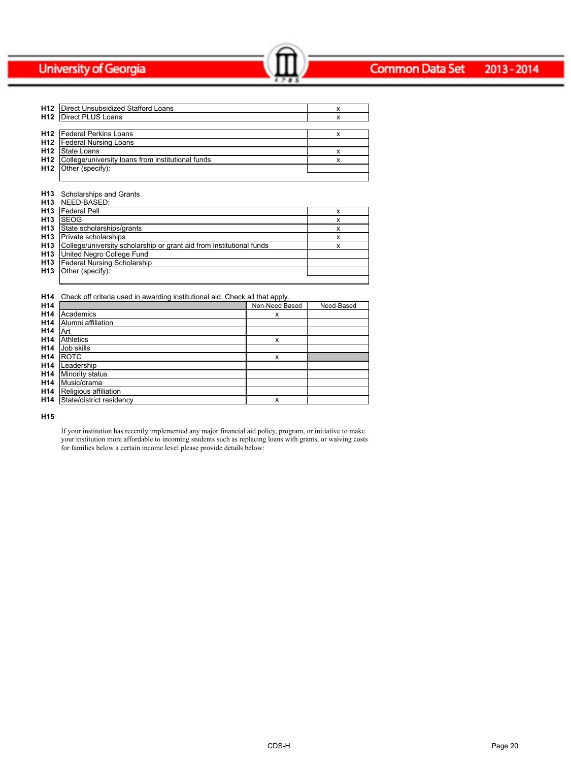#### **Common Data Set** 2013-2014

| H12 | Direct Unsubsidized Stafford Loans                           |  |
|-----|--------------------------------------------------------------|--|
|     | <b>H12</b>   Direct PLUS Loans                               |  |
|     |                                                              |  |
|     | <b>H12</b>   Federal Perkins Loans                           |  |
|     | <b>H12</b>   Federal Nursing Loans                           |  |
|     | <b>H12</b> State Loans                                       |  |
|     | <b>H12</b> College/university loans from institutional funds |  |
|     | $H12$ Other (specify):                                       |  |
|     |                                                              |  |

Common Data Set 2013-2014

#### **H13** Scholarships and Grants

| H <sub>13</sub> | NEED-BASED:                                                          |   |
|-----------------|----------------------------------------------------------------------|---|
| H <sub>13</sub> | <b>Federal Pell</b>                                                  | х |
| H <sub>13</sub> | <b>ISEOG</b>                                                         | х |
| H <sub>13</sub> | State scholarships/grants                                            | X |
| H <sub>13</sub> | Private scholarships                                                 | x |
| H <sub>13</sub> | College/university scholarship or grant aid from institutional funds | x |
| H <sub>13</sub> | United Negro College Fund                                            |   |
| H <sub>13</sub> | <b>Federal Nursing Scholarship</b>                                   |   |
| H <sub>13</sub> | Other (specify):                                                     |   |
|                 |                                                                      |   |

#### **H14** Check off criteria used in awarding institutional aid. Check all that apply.

| H <sub>14</sub> |                          | Non-Need Based | Need-Based |
|-----------------|--------------------------|----------------|------------|
| H <sub>14</sub> | Academics                | x              |            |
| H <sub>14</sub> | Alumni affiliation       |                |            |
| H <sub>14</sub> | ıArt                     |                |            |
| H <sub>14</sub> | <b>Athletics</b>         | x              |            |
| H <sub>14</sub> | Job skills               |                |            |
| H <sub>14</sub> | <b>IROTC</b>             | x              |            |
| H <sub>14</sub> | Leadership               |                |            |
| H <sub>14</sub> | Minority status          |                |            |
| H <sub>14</sub> | Music/drama              |                |            |
| H <sub>14</sub> | Religious affiliation    |                |            |
| H <sub>14</sub> | State/district residency | x              |            |

**H15**

If your institution has recently implemented any major financial aid policy, program, or initiative to make your institution more affordable to incoming students such as replacing loans with grants, or waiving costs for families below a certain income level please provide details below: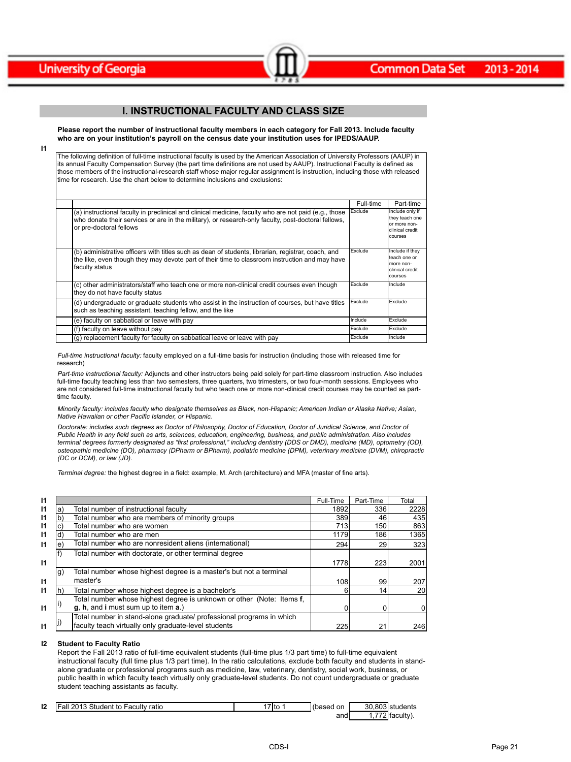

**I1**



## **I. INSTRUCTIONAL FACULTY AND CLASS SIZE**

 $\sim$   $\sim$   $\sim$   $\sim$   $\sim$   $\sim$   $\sim$ 

**Please report the number of instructional faculty members in each category for Fall 2013. Include faculty who are on your institution's payroll on the census date your institution uses for IPEDS/AAUP.**

The following definition of full-time instructional faculty is used by the American Association of University Professors (AAUP) in its annual Faculty Compensation Survey (the part time definitions are not used by AAUP). Instructional Faculty is defined as those members of the instructional-research staff whose major regular assignment is instruction, including those with released time for research. Use the chart below to determine inclusions and exclusions:

|                                                                                                                                                                                                                                         | Full-time | Part-time                                                                          |
|-----------------------------------------------------------------------------------------------------------------------------------------------------------------------------------------------------------------------------------------|-----------|------------------------------------------------------------------------------------|
| (a) instructional faculty in preclinical and clinical medicine, faculty who are not paid (e.g., those<br>who donate their services or are in the military), or research-only faculty, post-doctoral fellows,<br>or pre-doctoral fellows | Exclude   | Include only if<br>they teach one<br>lor more non-<br>Iclinical credit<br>Icourses |
| (b) administrative officers with titles such as dean of students, librarian, registrar, coach, and<br>the like, even though they may devote part of their time to classroom instruction and may have<br>faculty status                  | Exclude   | Include if they<br>teach one or<br>more non-<br>clinical credit<br>Icourses        |
| (c) other administrators/staff who teach one or more non-clinical credit courses even though<br>they do not have faculty status                                                                                                         | Exclude   | Include                                                                            |
| (d) undergraduate or graduate students who assist in the instruction of courses, but have titles<br>such as teaching assistant, teaching fellow, and the like                                                                           | Exclude   | Exclude                                                                            |
| (e) faculty on sabbatical or leave with pay                                                                                                                                                                                             | Include   | Exclude                                                                            |
| (f) faculty on leave without pay                                                                                                                                                                                                        | Exclude   | Exclude                                                                            |
| (q) replacement faculty for faculty on sabbatical leave or leave with pay                                                                                                                                                               | Exclude   | Include                                                                            |

*Full-time instructional faculty:* faculty employed on a full-time basis for instruction (including those with released time for research)

*Part-time instructional faculty:* Adjuncts and other instructors being paid solely for part-time classroom instruction. Also includes full-time faculty teaching less than two semesters, three quarters, two trimesters, or two four-month sessions. Employees who are not considered full-time instructional faculty but who teach one or more non-clinical credit courses may be counted as parttime faculty.

*Minority faculty: includes faculty who designate themselves as Black, non-Hispanic; American Indian or Alaska Native; Asian, Native Hawaiian or other Pacific Islander, or Hispanic.* 

*Doctorate: includes such degrees as Doctor of Philosophy, Doctor of Education, Doctor of Juridical Science, and Doctor of Public Health in any field such as arts, sciences, education, engineering, business, and public administration. Also includes terminal degrees formerly designated as "first professional," including dentistry (DDS or DMD), medicine (MD), optometry (OD), osteopathic medicine (DO), pharmacy (DPharm or BPharm), podiatric medicine (DPM), veterinary medicine (DVM), chiropractic (DC or DCM), or law (JD).*

*Terminal degree:* the highest degree in a field: example, M. Arch (architecture) and MFA (master of fine arts).

| 11           |    |                                                                       | Full-Time | Part-Time | Total           |
|--------------|----|-----------------------------------------------------------------------|-----------|-----------|-----------------|
| $\mathsf{I}$ | a. | Total number of instructional faculty                                 | 1892      | 336       | 2228            |
| $\mathsf{I}$ |    | Total number who are members of minority groups                       | 389       | 46        | 435             |
| $\mathsf{I}$ | C) | Total number who are women                                            | 713       | 150       | 863             |
| $\mathsf{I}$ | ď  | Total number who are men                                              | 1179      | 186       | 1365            |
| $\mathbf{I}$ | e. | Total number who are nonresident aliens (international)               | 294       | 29        | 323             |
|              |    | Total number with doctorate, or other terminal degree                 |           |           |                 |
| $\mathbf{I}$ |    |                                                                       | 1778      | 223       | 2001            |
|              | g) | Total number whose highest degree is a master's but not a terminal    |           |           |                 |
| $\mathsf{I}$ |    | master's                                                              | 108       | 99        | 207             |
| $\mathbf{I}$ |    | Total number whose highest degree is a bachelor's                     | 6         | 14        | 20 <sub>l</sub> |
|              |    | Total number whose highest degree is unknown or other (Note: Items f, |           |           |                 |
| $\mathsf{I}$ |    | g, h, and i must sum up to item a.)                                   |           |           |                 |
|              |    | Total number in stand-alone graduate/ professional programs in which  |           |           |                 |
| $\mathsf{I}$ |    | faculty teach virtually only graduate-level students                  | 225       | 21        | 246             |

#### **I2 Student to Faculty Ratio**

Report the Fall 2013 ratio of full-time equivalent students (full-time plus 1/3 part time) to full-time equivalent instructional faculty (full time plus 1/3 part time). In the ratio calculations, exclude both faculty and students in standalone graduate or professional programs such as medicine, law, veterinary, dentistry, social work, business, or public health in which faculty teach virtually only graduate-level students. Do not count undergraduate or graduate student teaching assistants as faculty.

| 12 | 2013 Student to Faculty<br>iFall.<br>ratio | `7lto . | l(based<br>on |         | 30.803 students |
|----|--------------------------------------------|---------|---------------|---------|-----------------|
|    |                                            |         | and           | $- - -$ | ੇIfacult∨.      |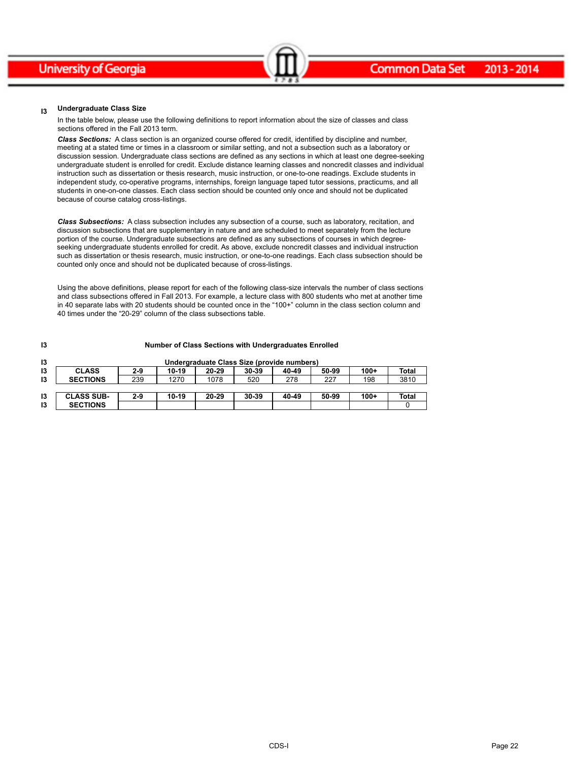#### **I3 Undergraduate Class Size**

In the table below, please use the following definitions to report information about the size of classes and class sections offered in the Fall 2013 term.

*Class Sections:* A class section is an organized course offered for credit, identified by discipline and number, meeting at a stated time or times in a classroom or similar setting, and not a subsection such as a laboratory or discussion session. Undergraduate class sections are defined as any sections in which at least one degree-seeking undergraduate student is enrolled for credit. Exclude distance learning classes and noncredit classes and individual instruction such as dissertation or thesis research, music instruction, or one-to-one readings. Exclude students in independent study, co-operative programs, internships, foreign language taped tutor sessions, practicums, and all students in one-on-one classes. Each class section should be counted only once and should not be duplicated because of course catalog cross-listings.

Common Data Set 2013-2014

*Class Subsections:* A class subsection includes any subsection of a course, such as laboratory, recitation, and discussion subsections that are supplementary in nature and are scheduled to meet separately from the lecture portion of the course. Undergraduate subsections are defined as any subsections of courses in which degreeseeking undergraduate students enrolled for credit. As above, exclude noncredit classes and individual instruction such as dissertation or thesis research, music instruction, or one-to-one readings. Each class subsection should be counted only once and should not be duplicated because of cross-listings.

Using the above definitions, please report for each of the following class-size intervals the number of class sections and class subsections offered in Fall 2013. For example, a lecture class with 800 students who met at another time in 40 separate labs with 20 students should be counted once in the "100+" column in the class section column and 40 times under the "20-29" column of the class subsections table.

| 13 | Number of Class Sections with Undergraduates Enrolled |         |       |       |                                            |       |       |        |              |
|----|-------------------------------------------------------|---------|-------|-------|--------------------------------------------|-------|-------|--------|--------------|
| 13 |                                                       |         |       |       | Undergraduate Class Size (provide numbers) |       |       |        |              |
| 13 | <b>CLASS</b>                                          | $2-9$   | 10-19 | 20-29 | 30-39                                      | 40-49 | 50-99 | $100+$ | <b>Total</b> |
| 13 | <b>SECTIONS</b>                                       | 239     | 1270  | 1078  | 520                                        | 278   | 227   | 198    | 3810         |
|    |                                                       |         |       |       |                                            |       |       |        |              |
| 13 | <b>CLASS SUB-</b>                                     | $2 - 9$ | 10-19 | 20-29 | 30-39                                      | 40-49 | 50-99 | $100+$ | Total        |
| 13 | <b>SECTIONS</b>                                       |         |       |       |                                            |       |       |        |              |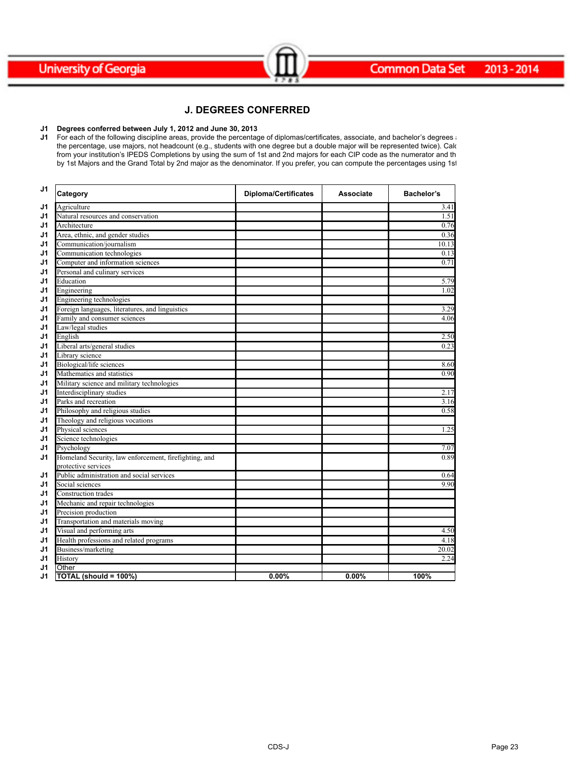



## **J. DEGREES CONFERRED**

Common Data Set 2013-2014

#### **J1 Degrees conferred between July 1, 2012 and June 30, 2013**

**J1** For each of the following discipline areas, provide the percentage of diplomas/certificates, associate, and bachelor's degrees and the percentage, use majors, not headcount (e.g., students with one degree but a double major will be represented twice). Calc from your institution's IPEDS Completions by using the sum of 1st and 2nd majors for each CIP code as the numerator and th by 1st Majors and the Grand Total by 2nd major as the denominator. If you prefer, you can compute the percentages using 1st

| J <sub>1</sub> | Category                                                                     | <b>Diploma/Certificates</b> | <b>Associate</b> | Bachelor's |
|----------------|------------------------------------------------------------------------------|-----------------------------|------------------|------------|
| J1             | Agriculture                                                                  |                             |                  | 3.41       |
| J <sub>1</sub> | Natural resources and conservation                                           |                             |                  | 1.51       |
| J <sub>1</sub> | Architecture                                                                 |                             |                  | 0.76       |
| J <sub>1</sub> | Area, ethnic, and gender studies                                             |                             |                  | 0.36       |
| J1             | Communication/journalism                                                     |                             |                  | 10.13      |
| J <sub>1</sub> | Communication technologies                                                   |                             |                  | 0.13       |
| J <sub>1</sub> | Computer and information sciences                                            |                             |                  | 0.71       |
| J <sub>1</sub> | Personal and culinary services                                               |                             |                  |            |
| J <sub>1</sub> | Education                                                                    |                             |                  | 5.79       |
| J <sub>1</sub> | Engineering                                                                  |                             |                  | 1.02       |
| J <sub>1</sub> | Engineering technologies                                                     |                             |                  |            |
| J <sub>1</sub> | Foreign languages, literatures, and linguistics                              |                             |                  | 3.29       |
| J1             | Family and consumer sciences                                                 |                             |                  | 4.06       |
| J <sub>1</sub> | Law/legal studies                                                            |                             |                  |            |
| J1             | English                                                                      |                             |                  | 2.50       |
| J1             | Liberal arts/general studies                                                 |                             |                  | 0.23       |
| J1             | Library science                                                              |                             |                  |            |
| J1             | Biological/life sciences                                                     |                             |                  | 8.60       |
| J1             | Mathematics and statistics                                                   |                             |                  | 0.90       |
| J1             | Military science and military technologies                                   |                             |                  |            |
| J <sub>1</sub> | Interdisciplinary studies                                                    |                             |                  | 2.17       |
| J <sub>1</sub> | Parks and recreation                                                         |                             |                  | 3.16       |
| J <sub>1</sub> | Philosophy and religious studies                                             |                             |                  | 0.58       |
| J <sub>1</sub> | Theology and religious vocations                                             |                             |                  |            |
| J <sub>1</sub> | Physical sciences                                                            |                             |                  | 1.25       |
| J <sub>1</sub> | Science technologies                                                         |                             |                  |            |
| J <sub>1</sub> | Psychology                                                                   |                             |                  | 7.07       |
| J <sub>1</sub> | Homeland Security, law enforcement, firefighting, and<br>protective services |                             |                  | 0.89       |
| J <sub>1</sub> | Public administration and social services                                    |                             |                  | 0.64       |
| J <sub>1</sub> | Social sciences                                                              |                             |                  | 9.90       |
| J <sub>1</sub> | Construction trades                                                          |                             |                  |            |
| J <sub>1</sub> | Mechanic and repair technologies                                             |                             |                  |            |
| J <sub>1</sub> | Precision production                                                         |                             |                  |            |
| J <sub>1</sub> | Transportation and materials moving                                          |                             |                  |            |
| J <sub>1</sub> | Visual and performing arts                                                   |                             |                  | 4.50       |
| J <sub>1</sub> | Health professions and related programs                                      |                             |                  | 4.18       |
| J <sub>1</sub> | Business/marketing                                                           |                             |                  | 20.02      |
| J <sub>1</sub> | History                                                                      |                             |                  | 2.24       |
| J <sub>1</sub> | Other                                                                        |                             |                  |            |
| J1             | TOTAL (should = 100%)                                                        | 0.00%                       | 0.00%            | 100%       |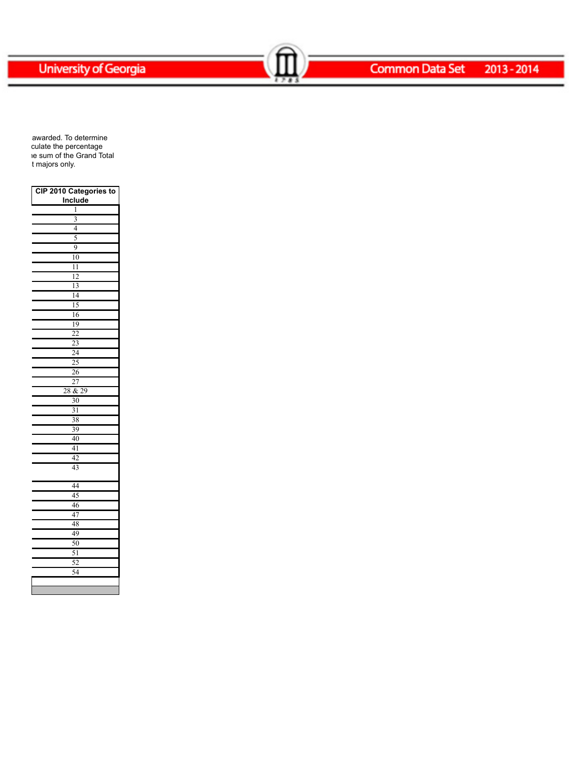Common Data Set 2013-2014

awarded. To determine culate the percentage ie sum of the Grand Total t majors only.

| CIP 2010 Categories to    |
|---------------------------|
| <b>Include</b>            |
| 1                         |
| $\overline{\overline{3}}$ |
| $\overline{4}$            |
| 5                         |
| 9                         |
| 10                        |
| $\overline{11}$           |
| 12                        |
| 13                        |
| $\overline{14}$           |
| 15                        |
| 16                        |
| 19                        |
| $\overline{22}$           |
| $\overline{23}$           |
| $\overline{24}$           |
| 25                        |
| 26                        |
| $\overline{27}$           |
| & 29<br>28                |
| $\overline{30}$           |
| $\frac{31}{2}$            |
| 38                        |
| 39                        |
| 40                        |
| 41                        |
| 42                        |
| 43                        |
| 44                        |
| 45                        |
| 46                        |
| 47                        |
| 48                        |
| 49                        |
| 50                        |
| 51                        |
| 52                        |
| 54                        |
|                           |
|                           |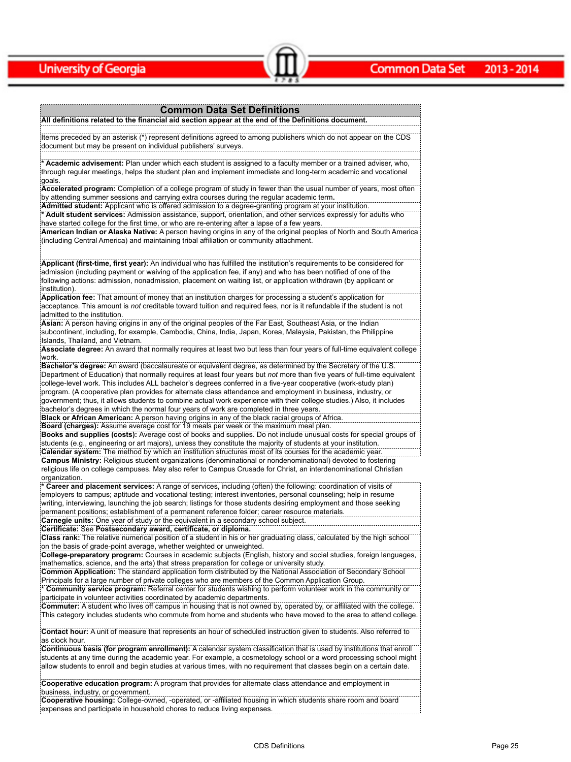### **Common Data Set Definitions**

Common Data Set 2013-2014

**All definitions related to the financial aid section appear at the end of the Definitions document.**

Items preceded by an asterisk (\*) represent definitions agreed to among publishers which do not appear on the CDS document but may be present on individual publishers' surveys.

**\* Academic advisement:** Plan under which each student is assigned to a faculty member or a trained adviser, who, through regular meetings, helps the student plan and implement immediate and long-term academic and vocational goals.

**Accelerated program:** Completion of a college program of study in fewer than the usual number of years, most often by attending summer sessions and carrying extra courses during the regular academic term**.**

**Admitted student:** Applicant who is offered admission to a degree-granting program at your institution. **\* Adult student services:** Admission assistance, support, orientation, and other services expressly for adults who have started college for the first time, or who are re-entering after a lapse of a few years.

**American Indian or Alaska Native:** A person having origins in any of the original peoples of North and South America (including Central America) and maintaining tribal affiliation or community attachment.

**Applicant (first-time, first year):** An individual who has fulfilled the institution's requirements to be considered for admission (including payment or waiving of the application fee, if any) and who has been notified of one of the following actions: admission, nonadmission, placement on waiting list, or application withdrawn (by applicant or institution).

**Application fee:** That amount of money that an institution charges for processing a student's application for acceptance. This amount is *not* creditable toward tuition and required fees, nor is it refundable if the student is not admitted to the institution.

**Asian:** A person having origins in any of the original peoples of the Far East, Southeast Asia, or the Indian subcontinent, including, for example, Cambodia, China, India, Japan, Korea, Malaysia, Pakistan, the Philippine Islands, Thailand, and Vietnam.

**Associate degree:** An award that normally requires at least two but less than four years of full-time equivalent college work.

**Bachelor's degree:** An award (baccalaureate or equivalent degree, as determined by the Secretary of the U.S. Department of Education) that normally requires at least four years but *not* more than five years of full-time equivalent college-level work. This includes ALL bachelor's degrees conferred in a five-year cooperative (work-study plan) program. (A cooperative plan provides for alternate class attendance and employment in business, industry, or government; thus, it allows students to combine actual work experience with their college studies.) Also, it includes bachelor's degrees in which the normal four years of work are completed in three years.

**Black or African American:** A person having origins in any of the black racial groups of Africa.

**Board (charges):** Assume average cost for 19 meals per week or the maximum meal plan.

**Books and supplies (costs):** Average cost of books and supplies. Do not include unusual costs for special groups of students (e.g., engineering or art majors), unless they constitute the majority of students at your institution. **Calendar system:** The method by which an institution structures most of its courses for the academic year. **Campus Ministry:** Religious student organizations (denominational or nondenominational) devoted to fostering religious life on college campuses. May also refer to Campus Crusade for Christ, an interdenominational Christian

organization.

**\* Career and placement services:** A range of services, including (often) the following: coordination of visits of employers to campus; aptitude and vocational testing; interest inventories, personal counseling; help in resume writing, interviewing, launching the job search; listings for those students desiring employment and those seeking permanent positions; establishment of a permanent reference folder; career resource materials. **Carnegie units:** One year of study or the equivalent in a secondary school subject.

**Certificate:** See **Postsecondary award, certificate, or diploma.**

**Class rank:** The relative numerical position of a student in his or her graduating class, calculated by the high school on the basis of grade-point average, whether weighted or unweighted.

**College-preparatory program:** Courses in academic subjects (English, history and social studies, foreign languages, mathematics, science, and the arts) that stress preparation for college or university study.

**Common Application:** The standard application form distributed by the National Association of Secondary School Principals for a large number of private colleges who are members of the Common Application Group.

**\* Community service program:** Referral center for students wishing to perform volunteer work in the community or participate in volunteer activities coordinated by academic departments.

**Commuter:** A student who lives off campus in housing that is not owned by, operated by, or affiliated with the college. This category includes students who commute from home and students who have moved to the area to attend college.

**Contact hour:** A unit of measure that represents an hour of scheduled instruction given to students. Also referred to as clock hour.

**Continuous basis (for program enrollment):** A calendar system classification that is used by institutions that enroll students at any time during the academic year. For example, a cosmetology school or a word processing school might allow students to enroll and begin studies at various times, with no requirement that classes begin on a certain date.

**Cooperative education program:** A program that provides for alternate class attendance and employment in business, industry, or government.

**Cooperative housing:** College-owned, -operated, or -affiliated housing in which students share room and board expenses and participate in household chores to reduce living expenses.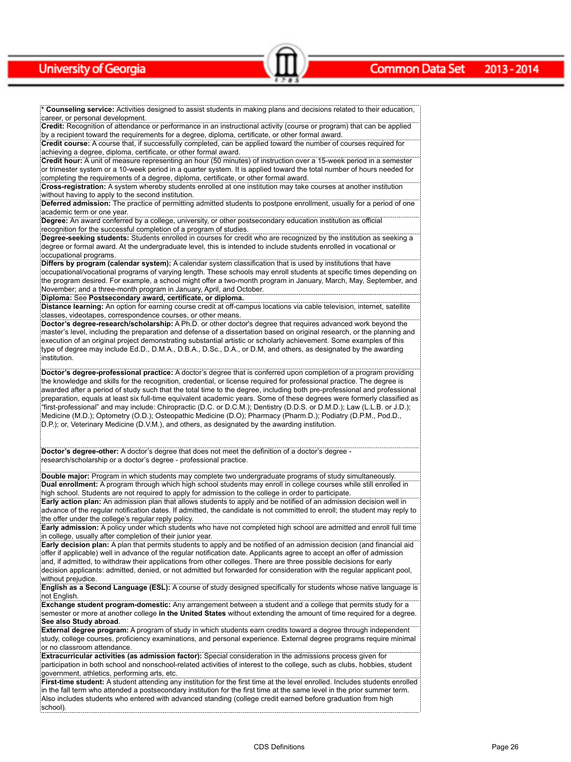**\* Counseling service:** Activities designed to assist students in making plans and decisions related to their education, career, or personal development.

 $\sim$   $\sim$   $\sim$   $\sim$   $\sim$   $\sim$   $\sim$ 

**Credit:** Recognition of attendance or performance in an instructional activity (course or program) that can be applied by a recipient toward the requirements for a degree, diploma, certificate, or other formal award.

**Credit course:** A course that, if successfully completed, can be applied toward the number of courses required for achieving a degree, diploma, certificate, or other formal award.

**Credit hour:** A unit of measure representing an hour (50 minutes) of instruction over a 15-week period in a semester or trimester system or a 10-week period in a quarter system. It is applied toward the total number of hours needed for completing the requirements of a degree, diploma, certificate, or other formal award.

**Cross-registration:** A system whereby students enrolled at one institution may take courses at another institution without having to apply to the second institution.

**Deferred admission:** The practice of permitting admitted students to postpone enrollment, usually for a period of one academic term or one year.

**Degree:** An award conferred by a college, university, or other postsecondary education institution as official recognition for the successful completion of a program of studies.

**Degree-seeking students:** Students enrolled in courses for credit who are recognized by the institution as seeking a degree or formal award. At the undergraduate level, this is intended to include students enrolled in vocational or occupational programs.

**Differs by program (calendar system):** A calendar system classification that is used by institutions that have occupational/vocational programs of varying length. These schools may enroll students at specific times depending on the program desired. For example, a school might offer a two-month program in January, March, May, September, and November; and a three-month program in January, April, and October.

**Diploma:** See **Postsecondary award, certificate, or diploma.**

**Distance learning:** An option for earning course credit at off-campus locations via cable television, internet, satellite classes, videotapes, correspondence courses, or other means.

**Doctor's degree-research/scholarship:** A Ph.D. or other doctor's degree that requires advanced work beyond the master's level, including the preparation and defense of a dissertation based on original research, or the planning and execution of an original project demonstrating substantial artistic or scholarly achievement. Some examples of this type of degree may include Ed.D., D.M.A., D.B.A., D.Sc., D.A., or D.M, and others, as designated by the awarding institution.

**Doctor's degree-professional practice:** A doctor's degree that is conferred upon completion of a program providing the knowledge and skills for the recognition, credential, or license required for professional practice. The degree is awarded after a period of study such that the total time to the degree, including both pre-professional and professional preparation, equals at least six full-time equivalent academic years. Some of these degrees were formerly classified as "first-professional" and may include: Chiropractic (D.C. or D.C.M.); Dentistry (D.D.S. or D.M.D.); Law (L.L.B. or J.D.); Medicine (M.D.); Optometry (O.D.); Osteopathic Medicine (D.O); Pharmacy (Pharm.D.); Podiatry (D.P.M., Pod.D., D.P.); or, Veterinary Medicine (D.V.M.), and others, as designated by the awarding institution.

**Doctor's degree-other:** A doctor's degree that does not meet the definition of a doctor's degree research/scholarship or a doctor's degree - professional practice.

**Double major:** Program in which students may complete two undergraduate programs of study simultaneously. **Dual enrollment:** A program through which high school students may enroll in college courses while still enrolled in high school. Students are not required to apply for admission to the college in order to participate.

**Early action plan:** An admission plan that allows students to apply and be notified of an admission decision well in advance of the regular notification dates. If admitted, the candidate is not committed to enroll; the student may reply to the offer under the college's regular reply policy.

**Early admission:** A policy under which students who have not completed high school are admitted and enroll full time in college, usually after completion of their junior year.

**Early decision plan:** A plan that permits students to apply and be notified of an admission decision (and financial aid offer if applicable) well in advance of the regular notification date. Applicants agree to accept an offer of admission and, if admitted, to withdraw their applications from other colleges. There are three possible decisions for early decision applicants: admitted, denied, or not admitted but forwarded for consideration with the regular applicant pool, without prejudice.

**English as a Second Language (ESL):** A course of study designed specifically for students whose native language is not English.

**Exchange student program-domestic:** Any arrangement between a student and a college that permits study for a semester or more at another college **in the United States** without extending the amount of time required for a degree. **See also Study abroad**.

**External degree program:** A program of study in which students earn credits toward a degree through independent study, college courses, proficiency examinations, and personal experience. External degree programs require minimal or no classroom attendance.

**Extracurricular activities (as admission factor):** Special consideration in the admissions process given for participation in both school and nonschool-related activities of interest to the college, such as clubs, hobbies, student government, athletics, performing arts, etc.

**First-time student:** A student attending any institution for the first time at the level enrolled. Includes students enrolled in the fall term who attended a postsecondary institution for the first time at the same level in the prior summer term. Also includes students who entered with advanced standing (college credit earned before graduation from high school).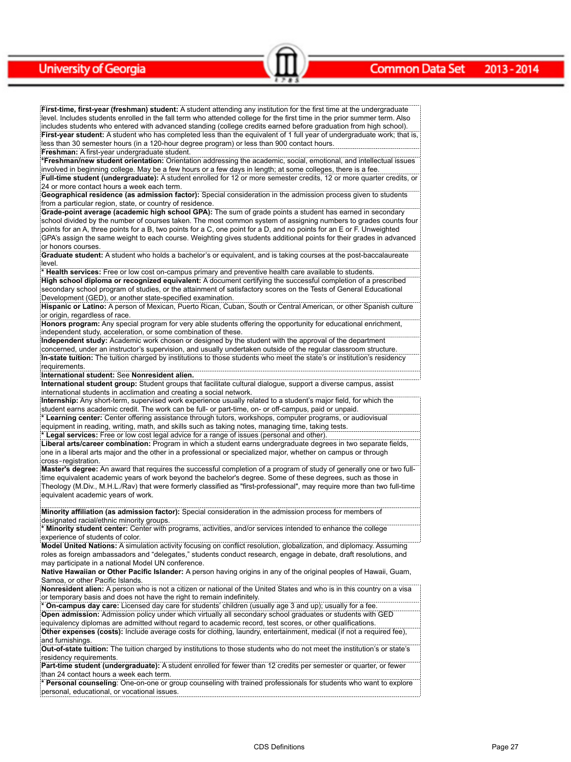#### **Common Data Set** 2013 - 2014

**First-time, first-year (freshman) student:** A student attending any institution for the first time at the undergraduate level. Includes students enrolled in the fall term who attended college for the first time in the prior summer term. Also includes students who entered with advanced standing (college credits earned before graduation from high school). **First-year student:** A student who has completed less than the equivalent of 1 full year of undergraduate work; that is, less than 30 semester hours (in a 120-hour degree program) or less than 900 contact hours. **Freshman:** A first-year undergraduate student.

 $\sim$   $\sim$   $\sim$   $\sim$   $\sim$   $\sim$   $\sim$ 

**\*Freshman/new student orientation:** Orientation addressing the academic, social, emotional, and intellectual issues involved in beginning college. May be a few hours or a few days in length; at some colleges, there is a fee. **Full-time student (undergraduate):** A student enrolled for 12 or more semester credits, 12 or more quarter credits, or 24 or more contact hours a week each term.

**Geographical residence (as admission factor):** Special consideration in the admission process given to students from a particular region, state, or country of residence.

**Grade-point average (academic high school GPA):** The sum of grade points a student has earned in secondary school divided by the number of courses taken. The most common system of assigning numbers to grades counts four points for an A, three points for a B, two points for a C, one point for a D, and no points for an E or F. Unweighted GPA's assign the same weight to each course. Weighting gives students additional points for their grades in advanced or honors courses.

**Graduate student:** A student who holds a bachelor's or equivalent, and is taking courses at the post-baccalaureate level

**\* Health services:** Free or low cost on-campus primary and preventive health care available to students.

**High school diploma or recognized equivalent:** A document certifying the successful completion of a prescribed secondary school program of studies, or the attainment of satisfactory scores on the Tests of General Educational Development (GED), or another state-specified examination.

**Hispanic or Latino:** A person of Mexican, Puerto Rican, Cuban, South or Central American, or other Spanish culture or origin, regardless of race.

**Honors program:** Any special program for very able students offering the opportunity for educational enrichment, independent study, acceleration, or some combination of these.

**Independent study:** Academic work chosen or designed by the student with the approval of the department concerned, under an instructor's supervision, and usually undertaken outside of the regular classroom structure. **In-state tuition:** The tuition charged by institutions to those students who meet the state's or institution's residency requirements.

**International student:** See **Nonresident alien.**

**International student group:** Student groups that facilitate cultural dialogue, support a diverse campus, assist international students in acclimation and creating a social network.

**Internship:** Any short-term, supervised work experience usually related to a student's major field, for which the student earns academic credit. The work can be full- or part-time, on- or off-campus, paid or unpaid.

**\* Learning center:** Center offering assistance through tutors, workshops, computer programs, or audiovisual equipment in reading, writing, math, and skills such as taking notes, managing time, taking tests.

**\* Legal services:** Free or low cost legal advice for a range of issues (personal and other).

**Liberal arts/career combination:** Program in which a student earns undergraduate degrees in two separate fields, one in a liberal arts major and the other in a professional or specialized major, whether on campus or through cross-registration.

**Master's degree:** An award that requires the successful completion of a program of study of generally one or two fulltime equivalent academic years of work beyond the bachelor's degree. Some of these degrees, such as those in Theology (M.Div., M.H.L./Rav) that were formerly classified as "first-professional", may require more than two full-time equivalent academic years of work.

**Minority affiliation (as admission factor):** Special consideration in the admission process for members of designated racial/ethnic minority groups.

**\* Minority student center:** Center with programs, activities, and/or services intended to enhance the college experience of students of color.

**Model United Nations:** A simulation activity focusing on conflict resolution, globalization, and diplomacy. Assuming roles as foreign ambassadors and "delegates," students conduct research, engage in debate, draft resolutions, and may participate in a national Model UN conference.

**Native Hawaiian or Other Pacific Islander:** A person having origins in any of the original peoples of Hawaii, Guam, Samoa, or other Pacific Islands.

**Nonresident alien:** A person who is not a citizen or national of the United States and who is in this country on a visa or temporary basis and does not have the right to remain indefinitely.

**\* On-campus day care:** Licensed day care for students' children (usually age 3 and up); usually for a fee. **Open admission:** Admission policy under which virtually all secondary school graduates or students with GED equivalency diplomas are admitted without regard to academic record, test scores, or other qualifications. **Other expenses (costs):** Include average costs for clothing, laundry, entertainment, medical (if not a required fee), and furnishings.

**Out-of-state tuition:** The tuition charged by institutions to those students who do not meet the institution's or state's residency requirements.

**Part-time student (undergraduate):** A student enrolled for fewer than 12 credits per semester or quarter, or fewer than 24 contact hours a week each term.

**\* Personal counseling**: One-on-one or group counseling with trained professionals for students who want to explore personal, educational, or vocational issues.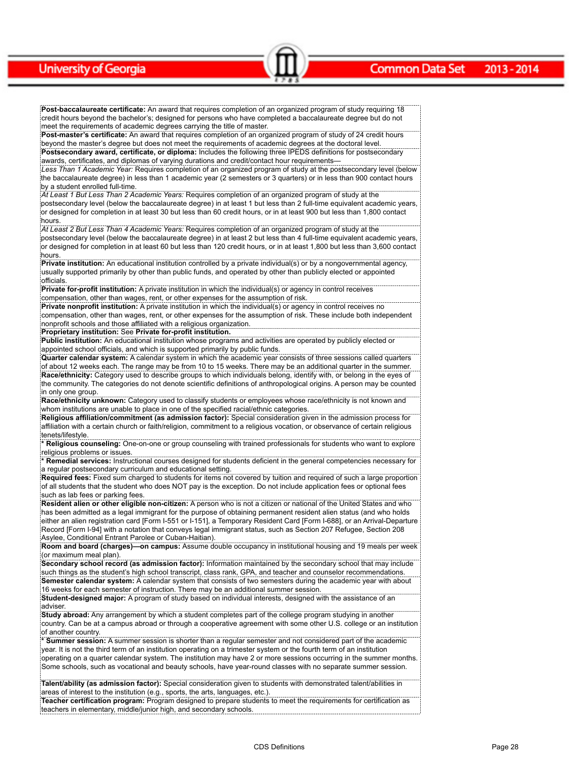**Post-baccalaureate certificate:** An award that requires completion of an organized program of study requiring 18 credit hours beyond the bachelor's; designed for persons who have completed a baccalaureate degree but do not meet the requirements of academic degrees carrying the title of master.

 $\sim$   $\sim$   $\sim$   $\sim$   $\sim$   $\sim$   $\sim$ 

**Post-master's certificate:** An award that requires completion of an organized program of study of 24 credit hours beyond the master's degree but does not meet the requirements of academic degrees at the doctoral level. **Postsecondary award, certificate, or diploma:** Includes the following three IPEDS definitions for postsecondary

awards, certificates, and diplomas of varying durations and credit/contact hour requirements— *Less Than 1 Academic Year:* Requires completion of an organized program of study at the postsecondary level (below the baccalaureate degree) in less than 1 academic year (2 semesters or 3 quarters) or in less than 900 contact hours by a student enrolled full-time.

*At Least 1 But Less Than 2 Academic Years:* Requires completion of an organized program of study at the postsecondary level (below the baccalaureate degree) in at least 1 but less than 2 full-time equivalent academic years, or designed for completion in at least 30 but less than 60 credit hours, or in at least 900 but less than 1,800 contact hours.

*At Least 2 But Less Than 4 Academic Years:* Requires completion of an organized program of study at the postsecondary level (below the baccalaureate degree) in at least 2 but less than 4 full-time equivalent academic years, or designed for completion in at least 60 but less than 120 credit hours, or in at least 1,800 but less than 3,600 contact hours.

**Private institution:** An educational institution controlled by a private individual(s) or by a nongovernmental agency, usually supported primarily by other than public funds, and operated by other than publicly elected or appointed officials.

**Private for-profit institution:** A private institution in which the individual(s) or agency in control receives compensation, other than wages, rent, or other expenses for the assumption of risk.

**Private nonprofit institution:** A private institution in which the individual(s) or agency in control receives no compensation, other than wages, rent, or other expenses for the assumption of risk. These include both independent nonprofit schools and those affiliated with a religious organization.

**Proprietary institution:** See **Private for-profit institution.**

**Public institution:** An educational institution whose programs and activities are operated by publicly elected or appointed school officials, and which is supported primarily by public funds.

**Quarter calendar system:** A calendar system in which the academic year consists of three sessions called quarters of about 12 weeks each. The range may be from 10 to 15 weeks. There may be an additional quarter in the summer. **Race/ethnicity:** Category used to describe groups to which individuals belong, identify with, or belong in the eyes of the community. The categories do not denote scientific definitions of anthropological origins. A person may be counted in only one group.

**Race/ethnicity unknown:** Category used to classify students or employees whose race/ethnicity is not known and whom institutions are unable to place in one of the specified racial/ethnic categories.

**Religious affiliation/commitment (as admission factor):** Special consideration given in the admission process for affiliation with a certain church or faith/religion, commitment to a religious vocation, or observance of certain religious tenets/lifestyle.

**\* Religious counseling:** One-on-one or group counseling with trained professionals for students who want to explore religious problems or issues.

**\* Remedial services:** Instructional courses designed for students deficient in the general competencies necessary for a regular postsecondary curriculum and educational setting.

**Required fees:** Fixed sum charged to students for items not covered by tuition and required of such a large proportion of all students that the student who does NOT pay is the exception. Do not include application fees or optional fees such as lab fees or parking fees.

**Resident alien or other eligible non-citizen:** A person who is not a citizen or national of the United States and who has been admitted as a legal immigrant for the purpose of obtaining permanent resident alien status (and who holds either an alien registration card [Form I-551 or I-151], a Temporary Resident Card [Form I-688], or an Arrival-Departure Record [Form I-94] with a notation that conveys legal immigrant status, such as Section 207 Refugee, Section 208 Asylee, Conditional Entrant Parolee or Cuban-Haitian).

**Room and board (charges)—on campus:** Assume double occupancy in institutional housing and 19 meals per week (or maximum meal plan).

**Secondary school record (as admission factor):** Information maintained by the secondary school that may include such things as the student's high school transcript, class rank, GPA, and teacher and counselor recommendations. **Semester calendar system:** A calendar system that consists of two semesters during the academic year with about 16 weeks for each semester of instruction. There may be an additional summer session.

**Student-designed major:** A program of study based on individual interests, designed with the assistance of an adviser.

**Study abroad:** Any arrangement by which a student completes part of the college program studying in another country. Can be at a campus abroad or through a cooperative agreement with some other U.S. college or an institution of another country.

**\* Summer session:** A summer session is shorter than a regular semester and not considered part of the academic year. It is not the third term of an institution operating on a trimester system or the fourth term of an institution operating on a quarter calendar system. The institution may have 2 or more sessions occurring in the summer months. Some schools, such as vocational and beauty schools, have year-round classes with no separate summer session.

**Talent/ability (as admission factor):** Special consideration given to students with demonstrated talent/abilities in areas of interest to the institution (e.g., sports, the arts, languages, etc.).

**Teacher certification program:** Program designed to prepare students to meet the requirements for certification as teachers in elementary, middle/junior high, and secondary schools.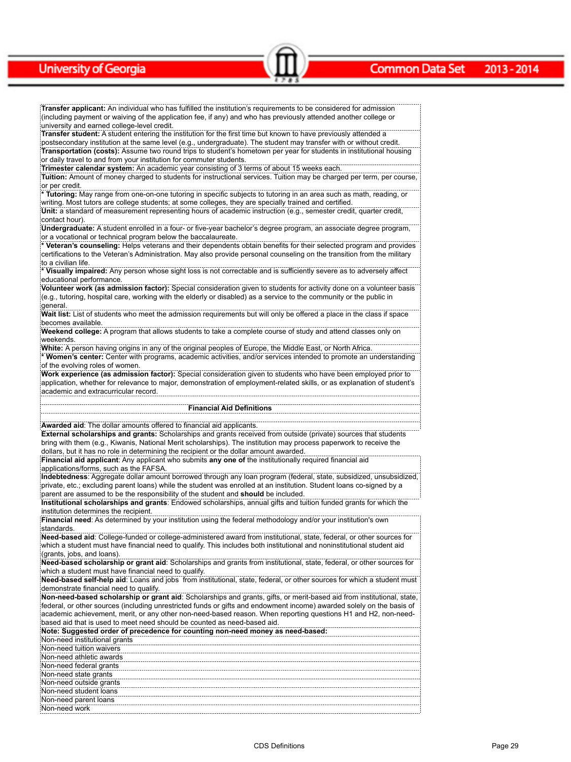#### **Common Data Set** 2013 - 2014

**Transfer applicant:** An individual who has fulfilled the institution's requirements to be considered for admission (including payment or waiving of the application fee, if any) and who has previously attended another college or university and earned college-level credit.

Common Data Set 2013-2014

**Transfer student:** A student entering the institution for the first time but known to have previously attended a postsecondary institution at the same level (e.g., undergraduate). The student may transfer with or without credit. **Transportation (costs):** Assume two round trips to student's hometown per year for students in institutional housing or daily travel to and from your institution for commuter students.

**Trimester calendar system:** An academic year consisting of 3 terms of about 15 weeks each.

**Tuition:** Amount of money charged to students for instructional services. Tuition may be charged per term, per course, or per credit.

**\* Tutoring:** May range from one-on-one tutoring in specific subjects to tutoring in an area such as math, reading, or writing. Most tutors are college students; at some colleges, they are specially trained and certified.

**Unit:** a standard of measurement representing hours of academic instruction (e.g., semester credit, quarter credit, contact hour).

**Undergraduate:** A student enrolled in a four- or five-year bachelor's degree program, an associate degree program, or a vocational or technical program below the baccalaureate.

**\* Veteran's counseling:** Helps veterans and their dependents obtain benefits for their selected program and provides certifications to the Veteran's Administration. May also provide personal counseling on the transition from the military to a civilian life.

**\* Visually impaired:** Any person whose sight loss is not correctable and is sufficiently severe as to adversely affect educational performance.

**Volunteer work (as admission factor):** Special consideration given to students for activity done on a volunteer basis (e.g., tutoring, hospital care, working with the elderly or disabled) as a service to the community or the public in general.

**Wait list:** List of students who meet the admission requirements but will only be offered a place in the class if space becomes available.

**Weekend college:** A program that allows students to take a complete course of study and attend classes only on weekends.

**White:** A person having origins in any of the original peoples of Europe, the Middle East, or North Africa. **\* Women's center:** Center with programs, academic activities, and/or services intended to promote an understanding of the evolving roles of women.

**Work experience (as admission factor):** Special consideration given to students who have been employed prior to application, whether for relevance to major, demonstration of employment-related skills, or as explanation of student's academic and extracurricular record.

#### **Financial Aid Definitions**

**Awarded aid**: The dollar amounts offered to financial aid applicants.

**External scholarships and grants:** Scholarships and grants received from outside (private) sources that students bring with them (e.g., Kiwanis, National Merit scholarships). The institution may process paperwork to receive the dollars, but it has no role in determining the recipient or the dollar amount awarded.

**Financial aid applicant**: Any applicant who submits **any one of** the institutionally required financial aid applications/forms, such as the FAFSA.

**Indebtedness**: Aggregate dollar amount borrowed through any loan program (federal, state, subsidized, unsubsidized, private, etc.; excluding parent loans) while the student was enrolled at an institution. Student loans co-signed by a parent are assumed to be the responsibility of the student and **should** be included.

**Institutional scholarships and grants**: Endowed scholarships, annual gifts and tuition funded grants for which the institution determines the recipient.

**Financial need**: As determined by your institution using the federal methodology and/or your institution's own standards.

**Need-based aid**: College-funded or college-administered award from institutional, state, federal, or other sources for which a student must have financial need to qualify. This includes both institutional and noninstitutional student aid (grants, jobs, and loans).

**Need-based scholarship or grant aid**: Scholarships and grants from institutional, state, federal, or other sources for which a student must have financial need to qualify.

**Need-based self-help aid**: Loans and jobs from institutional, state, federal, or other sources for which a student must demonstrate financial need to qualify.

**Non-need-based scholarship or grant aid**: Scholarships and grants, gifts, or merit-based aid from institutional, state, federal, or other sources (including unrestricted funds or gifts and endowment income) awarded solely on the basis of academic achievement, merit, or any other non-need-based reason. When reporting questions H1 and H2, non-needbased aid that is used to meet need should be counted as need-based aid.

| Note: Suggested order of precedence for counting non-need money as need-based: |  |
|--------------------------------------------------------------------------------|--|
| Non-need institutional grants                                                  |  |
| Non-need tuition waivers                                                       |  |
| Non-need athletic awards                                                       |  |
| Non-need federal grants                                                        |  |
| Non-need state grants                                                          |  |
| Non-need outside grants                                                        |  |
| Non-need student loans                                                         |  |
| Non-need parent loans                                                          |  |
| :Non-need work                                                                 |  |